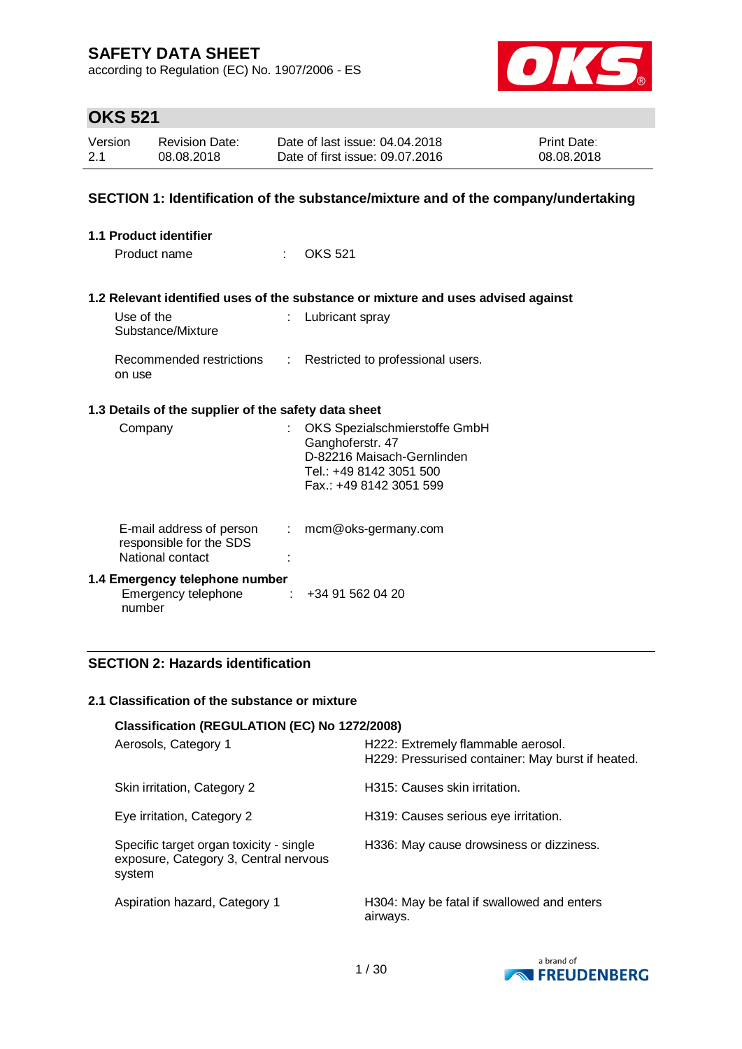according to Regulation (EC) No. 1907/2006 - ES



# **OKS 521**

| Version | <b>Revision Date:</b> | Date of last issue: 04.04.2018  | <b>Print Date:</b> |
|---------|-----------------------|---------------------------------|--------------------|
| 2.1     | 08.08.2018            | Date of first issue: 09.07.2016 | 08.08.2018         |

### **SECTION 1: Identification of the substance/mixture and of the company/undertaking**

| <b>1.1 Product identifier</b>                                           |               |                                                                                                                                       |
|-------------------------------------------------------------------------|---------------|---------------------------------------------------------------------------------------------------------------------------------------|
| Product name                                                            | t in          | OKS 521                                                                                                                               |
|                                                                         |               |                                                                                                                                       |
|                                                                         |               | 1.2 Relevant identified uses of the substance or mixture and uses advised against                                                     |
| Use of the<br>Substance/Mixture                                         |               | Lubricant spray                                                                                                                       |
| on use                                                                  |               | Recommended restrictions : Restricted to professional users.                                                                          |
| 1.3 Details of the supplier of the safety data sheet                    |               |                                                                                                                                       |
| Company                                                                 |               | OKS Spezialschmierstoffe GmbH<br>Ganghoferstr. 47<br>D-82216 Maisach-Gernlinden<br>Tel.: +49 8142 3051 500<br>Fax.: +49 8142 3051 599 |
| E-mail address of person<br>responsible for the SDS<br>National contact | $\mathcal{L}$ | mcm@oks-germany.com                                                                                                                   |
| 1.4 Emergency telephone number<br>Emergency telephone<br>number         |               | $\div$ +34 91 562 04 20                                                                                                               |

### **SECTION 2: Hazards identification**

#### **2.1 Classification of the substance or mixture**

| Classification (REGULATION (EC) No 1272/2008)                                              |                                                                                         |
|--------------------------------------------------------------------------------------------|-----------------------------------------------------------------------------------------|
| Aerosols, Category 1                                                                       | H222: Extremely flammable aerosol.<br>H229: Pressurised container: May burst if heated. |
| Skin irritation, Category 2                                                                | H315: Causes skin irritation.                                                           |
| Eye irritation, Category 2                                                                 | H319: Causes serious eye irritation.                                                    |
| Specific target organ toxicity - single<br>exposure, Category 3, Central nervous<br>system | H336: May cause drowsiness or dizziness.                                                |
| Aspiration hazard, Category 1                                                              | H304: May be fatal if swallowed and enters<br>airways.                                  |

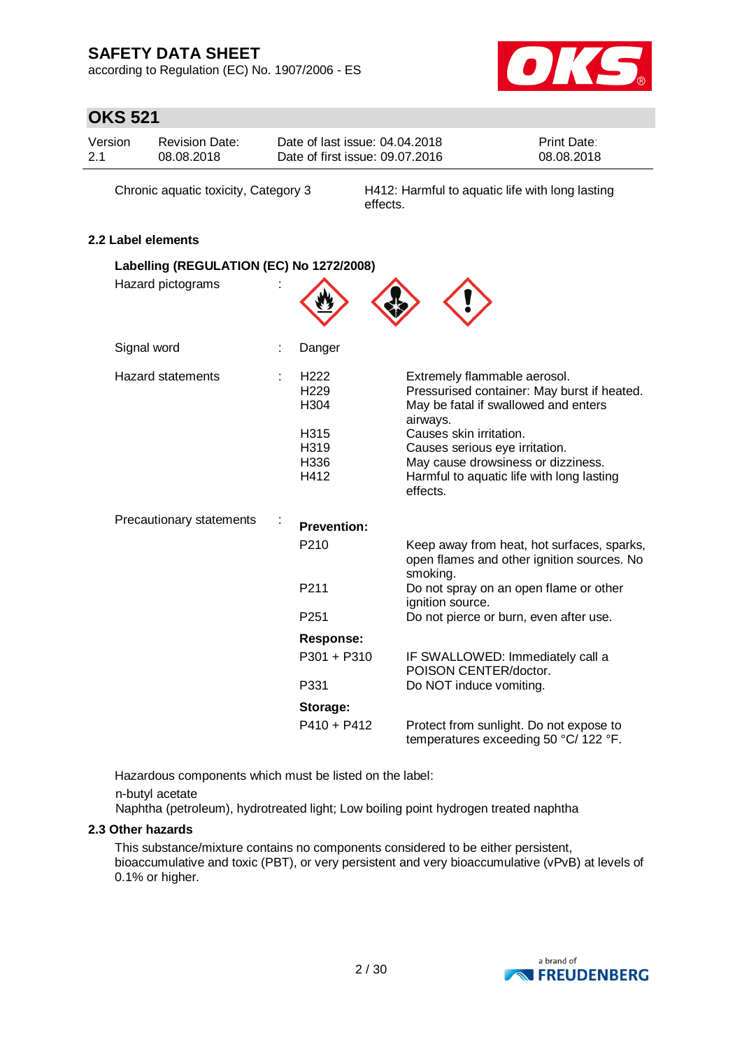according to Regulation (EC) No. 1907/2006 - ES



# **OKS 521**

| Version<br>Date of last issue: 04.04.2018<br>Revision Date:<br>2.1<br>Date of first issue: 09.07.2016<br>08.08.2018 | <b>Print Date:</b><br>08.08.2018 |
|---------------------------------------------------------------------------------------------------------------------|----------------------------------|
|---------------------------------------------------------------------------------------------------------------------|----------------------------------|

Chronic aquatic toxicity, Category 3 H412: Harmful to aquatic life with long lasting effects.

### **2.2 Label elements**

| Labelling (REGULATION (EC) No 1272/2008) |                                                                              |                                                                                                                                                                                                                                                                                             |
|------------------------------------------|------------------------------------------------------------------------------|---------------------------------------------------------------------------------------------------------------------------------------------------------------------------------------------------------------------------------------------------------------------------------------------|
| Hazard pictograms                        |                                                                              |                                                                                                                                                                                                                                                                                             |
| Signal word                              | Danger                                                                       |                                                                                                                                                                                                                                                                                             |
| <b>Hazard statements</b>                 | H <sub>222</sub><br>H <sub>229</sub><br>H304<br>H315<br>H319<br>H336<br>H412 | Extremely flammable aerosol.<br>Pressurised container: May burst if heated.<br>May be fatal if swallowed and enters<br>airways.<br>Causes skin irritation.<br>Causes serious eye irritation.<br>May cause drowsiness or dizziness.<br>Harmful to aquatic life with long lasting<br>effects. |
| Precautionary statements                 | <b>Prevention:</b>                                                           |                                                                                                                                                                                                                                                                                             |
|                                          | P <sub>210</sub>                                                             | Keep away from heat, hot surfaces, sparks,<br>open flames and other ignition sources. No<br>smoking.                                                                                                                                                                                        |
|                                          | P211                                                                         | Do not spray on an open flame or other<br>ignition source.                                                                                                                                                                                                                                  |
|                                          | P <sub>251</sub>                                                             | Do not pierce or burn, even after use.                                                                                                                                                                                                                                                      |
|                                          | <b>Response:</b>                                                             |                                                                                                                                                                                                                                                                                             |
|                                          | P301 + P310                                                                  | IF SWALLOWED: Immediately call a<br>POISON CENTER/doctor.                                                                                                                                                                                                                                   |
|                                          | P331                                                                         | Do NOT induce vomiting.                                                                                                                                                                                                                                                                     |
|                                          | Storage:                                                                     |                                                                                                                                                                                                                                                                                             |
|                                          | P410 + P412                                                                  | Protect from sunlight. Do not expose to<br>temperatures exceeding 50 °C/ 122 °F.                                                                                                                                                                                                            |

Hazardous components which must be listed on the label:

n-butyl acetate

Naphtha (petroleum), hydrotreated light; Low boiling point hydrogen treated naphtha

### **2.3 Other hazards**

This substance/mixture contains no components considered to be either persistent, bioaccumulative and toxic (PBT), or very persistent and very bioaccumulative (vPvB) at levels of 0.1% or higher.

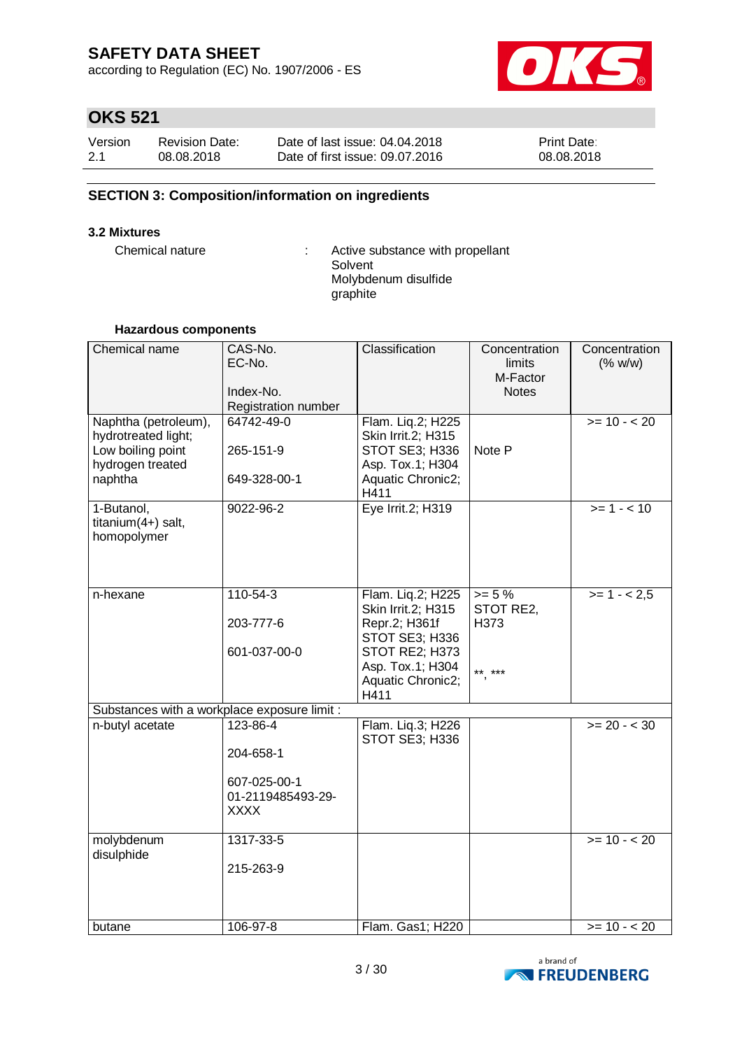according to Regulation (EC) No. 1907/2006 - ES



# **OKS 521**

| Version | <b>Revision Date:</b> | Date of last issue: 04.04.2018  | <b>Print Date:</b> |
|---------|-----------------------|---------------------------------|--------------------|
| 2.1     | 08.08.2018            | Date of first issue: 09.07.2016 | 08.08.2018         |

### **SECTION 3: Composition/information on ingredients**

#### **3.2 Mixtures**

Chemical nature : Active substance with propellant Solvent Molybdenum disulfide graphite

#### **Hazardous components**

| Chemical name                                                                        | CAS-No.<br>EC-No.<br>Index-No.<br>Registration number                     | Classification                                                                                                                                | Concentration<br>limits<br>M-Factor<br><b>Notes</b> | Concentration<br>(% w/w) |
|--------------------------------------------------------------------------------------|---------------------------------------------------------------------------|-----------------------------------------------------------------------------------------------------------------------------------------------|-----------------------------------------------------|--------------------------|
| Naphtha (petroleum),<br>hydrotreated light;<br>Low boiling point<br>hydrogen treated | 64742-49-0<br>265-151-9                                                   | Flam. Liq.2; H225<br>Skin Irrit.2; H315<br>STOT SE3; H336<br>Asp. Tox.1; H304                                                                 | Note P                                              | $>= 10 - 20$             |
| naphtha                                                                              | 649-328-00-1                                                              | Aquatic Chronic2;<br>H411                                                                                                                     |                                                     |                          |
| 1-Butanol,<br>titanium $(4+)$ salt,<br>homopolymer                                   | 9022-96-2                                                                 | Eye Irrit.2; H319                                                                                                                             |                                                     | $>= 1 - 10$              |
| n-hexane                                                                             | $110 - 54 - 3$<br>203-777-6<br>601-037-00-0                               | Flam. Liq.2; H225<br>Skin Irrit.2; H315<br>Repr.2; H361f<br>STOT SE3; H336<br>STOT RE2; H373<br>Asp. Tox.1; H304<br>Aquatic Chronic2;<br>H411 | $>= 5%$<br>STOT RE2,<br>H373<br>** ***              | $>= 1 - 2.5$             |
| Substances with a workplace exposure limit :                                         |                                                                           |                                                                                                                                               |                                                     |                          |
| n-butyl acetate                                                                      | 123-86-4<br>204-658-1<br>607-025-00-1<br>01-2119485493-29-<br><b>XXXX</b> | Flam. Liq.3; H226<br>STOT SE3; H336                                                                                                           |                                                     | $>= 20 - < 30$           |
| molybdenum<br>disulphide                                                             | 1317-33-5<br>215-263-9                                                    |                                                                                                                                               |                                                     | $>= 10 - 20$             |
| butane                                                                               | 106-97-8                                                                  | Flam. Gas1; H220                                                                                                                              |                                                     | $>= 10 - 20$             |

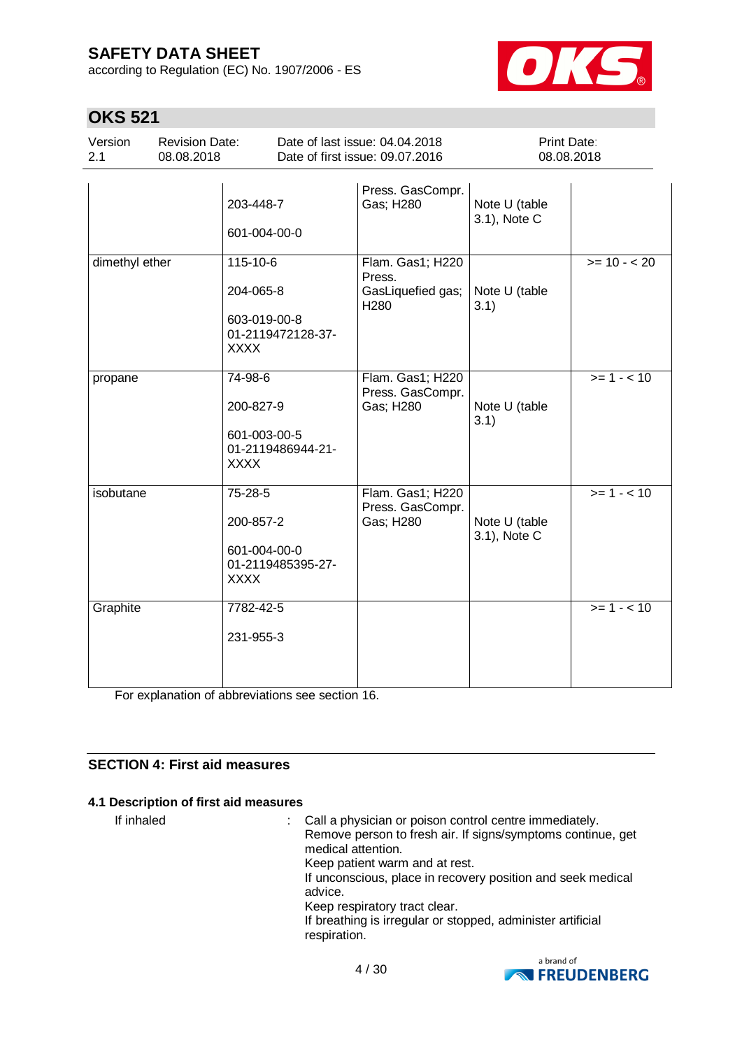according to Regulation (EC) No. 1907/2006 - ES



# **OKS 521**

| Version | <b>Revision Date:</b> | Date of last issue: 04.04.2018  | <b>Print Date:</b> |
|---------|-----------------------|---------------------------------|--------------------|
| 2.1     | 08.08.2018            | Date of first issue: 09.07.2016 | 08.08.2018         |

|                | 203-448-7<br>601-004-00-0                                                 | Press. GasCompr.<br>Gas; H280                                       | Note U (table<br>3.1), Note C |              |
|----------------|---------------------------------------------------------------------------|---------------------------------------------------------------------|-------------------------------|--------------|
| dimethyl ether | 115-10-6<br>204-065-8<br>603-019-00-8<br>01-2119472128-37-<br><b>XXXX</b> | Flam. Gas1; H220<br>Press.<br>GasLiquefied gas;<br>H <sub>280</sub> | Note U (table<br>3.1)         | $>= 10 - 20$ |
| propane        | 74-98-6<br>200-827-9<br>601-003-00-5<br>01-2119486944-21-<br><b>XXXX</b>  | Flam. Gas1; H220<br>Press. GasCompr.<br>Gas; H280                   | Note U (table<br>3.1)         | $>= 1 - 10$  |
| isobutane      | 75-28-5<br>200-857-2<br>601-004-00-0<br>01-2119485395-27-<br><b>XXXX</b>  | Flam. Gas1; H220<br>Press. GasCompr.<br>Gas; H280                   | Note U (table<br>3.1), Note C | $>= 1 - 10$  |
| Graphite       | 7782-42-5<br>231-955-3                                                    |                                                                     |                               | $>= 1 - 10$  |

For explanation of abbreviations see section 16.

### **SECTION 4: First aid measures**

#### **4.1 Description of first aid measures**

If inhaled : Call a physician or poison control centre immediately. Remove person to fresh air. If signs/symptoms continue, get medical attention. Keep patient warm and at rest. If unconscious, place in recovery position and seek medical advice. Keep respiratory tract clear. If breathing is irregular or stopped, administer artificial respiration.

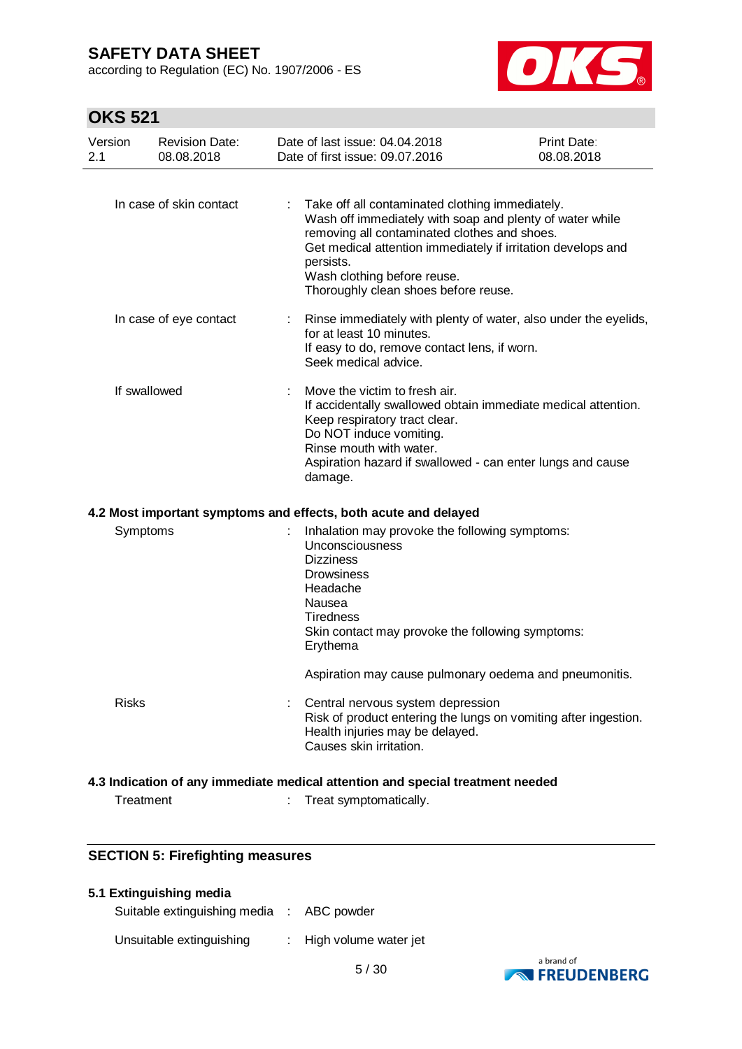according to Regulation (EC) No. 1907/2006 - ES



# **OKS 521**

| Version<br>2.1 | <b>Revision Date:</b><br>08.08.2018 | Date of last issue: 04.04.2018<br>Date of first issue: 09.07.2016                                                                                                                                                                                                                                               | Print Date:<br>08.08.2018 |
|----------------|-------------------------------------|-----------------------------------------------------------------------------------------------------------------------------------------------------------------------------------------------------------------------------------------------------------------------------------------------------------------|---------------------------|
|                | In case of skin contact             | Take off all contaminated clothing immediately.<br>Wash off immediately with soap and plenty of water while<br>removing all contaminated clothes and shoes.<br>Get medical attention immediately if irritation develops and<br>persists.<br>Wash clothing before reuse.<br>Thoroughly clean shoes before reuse. |                           |
|                | In case of eye contact              | Rinse immediately with plenty of water, also under the eyelids,<br>for at least 10 minutes.<br>If easy to do, remove contact lens, if worn.<br>Seek medical advice.                                                                                                                                             |                           |
|                | If swallowed                        | Move the victim to fresh air.<br>If accidentally swallowed obtain immediate medical attention.<br>Keep respiratory tract clear.<br>Do NOT induce vomiting.<br>Rinse mouth with water.<br>Aspiration hazard if swallowed - can enter lungs and cause<br>damage.                                                  |                           |
|                |                                     | 4.2 Most important symptoms and effects, both acute and delayed                                                                                                                                                                                                                                                 |                           |
| Symptoms       |                                     | Inhalation may provoke the following symptoms:<br>Unconsciousness<br><b>Dizziness</b><br><b>Drowsiness</b><br>Headache<br>Nausea<br><b>Tiredness</b><br>Skin contact may provoke the following symptoms:<br>Erythema                                                                                            |                           |
|                |                                     | Aspiration may cause pulmonary oedema and pneumonitis.                                                                                                                                                                                                                                                          |                           |
| <b>Risks</b>   |                                     | Central nervous system depression<br>Risk of product entering the lungs on vomiting after ingestion.<br>Health injuries may be delayed.<br>Causes skin irritation.                                                                                                                                              |                           |
|                |                                     | 4.3 Indication of any immediate medical attention and special treatment needed                                                                                                                                                                                                                                  |                           |
| Treatment      |                                     | Treat symptomatically.                                                                                                                                                                                                                                                                                          |                           |

### **SECTION 5: Firefighting measures**

### **5.1 Extinguishing media**

Suitable extinguishing media : ABC powder

Unsuitable extinguishing : High volume water jet

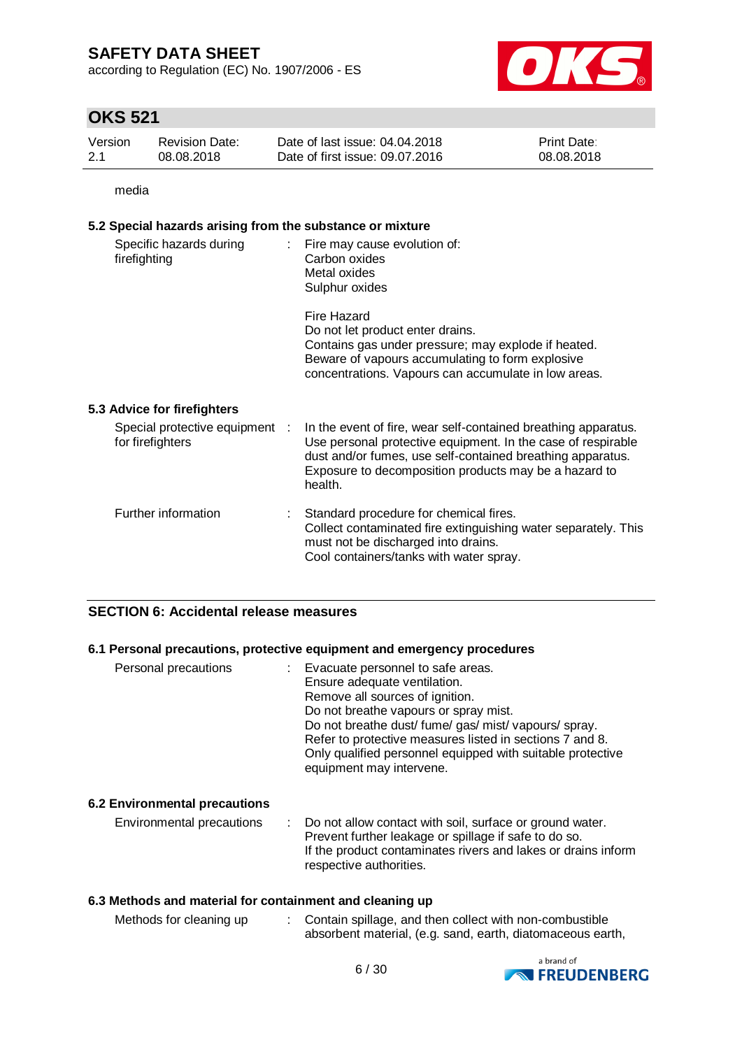according to Regulation (EC) No. 1907/2006 - ES



# **OKS 521**

| Version | Revision Date: | Date of last issue: 04.04.2018  | <b>Print Date:</b> |
|---------|----------------|---------------------------------|--------------------|
| -2.1    | 08.08.2018     | Date of first issue: 09.07.2016 | 08.08.2018         |

media

### **5.2 Special hazards arising from the substance or mixture**

| Specific hazards during<br>firefighting            | Fire may cause evolution of:<br>÷.<br>Carbon oxides<br>Metal oxides<br>Sulphur oxides                                                                                                                                                                            |
|----------------------------------------------------|------------------------------------------------------------------------------------------------------------------------------------------------------------------------------------------------------------------------------------------------------------------|
|                                                    | Fire Hazard<br>Do not let product enter drains.<br>Contains gas under pressure; may explode if heated.<br>Beware of vapours accumulating to form explosive<br>concentrations. Vapours can accumulate in low areas.                                               |
| 5.3 Advice for firefighters                        |                                                                                                                                                                                                                                                                  |
| Special protective equipment :<br>for firefighters | In the event of fire, wear self-contained breathing apparatus.<br>Use personal protective equipment. In the case of respirable<br>dust and/or fumes, use self-contained breathing apparatus.<br>Exposure to decomposition products may be a hazard to<br>health. |
| Further information                                | Standard procedure for chemical fires.<br>Collect contaminated fire extinguishing water separately. This<br>must not be discharged into drains.<br>Cool containers/tanks with water spray.                                                                       |

### **SECTION 6: Accidental release measures**

#### **6.1 Personal precautions, protective equipment and emergency procedures**

| Personal precautions                 | Evacuate personnel to safe areas.<br>Ensure adequate ventilation.<br>Remove all sources of ignition.<br>Do not breathe vapours or spray mist.<br>Do not breathe dust/ fume/ gas/ mist/ vapours/ spray.<br>Refer to protective measures listed in sections 7 and 8.<br>Only qualified personnel equipped with suitable protective<br>equipment may intervene. |
|--------------------------------------|--------------------------------------------------------------------------------------------------------------------------------------------------------------------------------------------------------------------------------------------------------------------------------------------------------------------------------------------------------------|
| <b>6.2 Environmental precautions</b> |                                                                                                                                                                                                                                                                                                                                                              |

#### Environmental precautions : Do not allow contact with soil, surface or ground water. Prevent further leakage or spillage if safe to do so. If the product contaminates rivers and lakes or drains inform respective authorities.

### **6.3 Methods and material for containment and cleaning up**

| Methods for cleaning up | Contain spillage, and then collect with non-combustible    |  |
|-------------------------|------------------------------------------------------------|--|
|                         | absorbent material, (e.g. sand, earth, diatomaceous earth, |  |

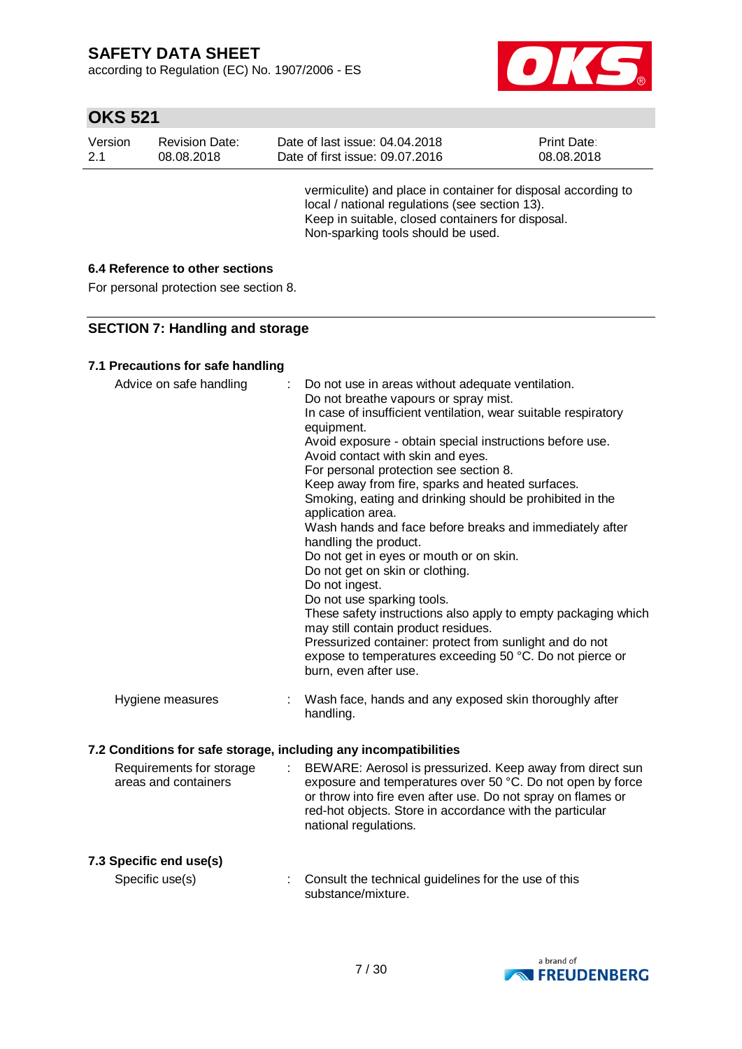according to Regulation (EC) No. 1907/2006 - ES



# **OKS 521**

| Version | <b>Revision Date:</b> | Date of last issue: 04.04.2018                                                                                                                                                                             | <b>Print Date:</b> |
|---------|-----------------------|------------------------------------------------------------------------------------------------------------------------------------------------------------------------------------------------------------|--------------------|
| 2.1     | 08.08.2018            | Date of first issue: 09.07.2016                                                                                                                                                                            | 08.08.2018         |
|         |                       | vermiculite) and place in container for disposal according to<br>local / national regulations (see section 13).<br>Keep in suitable, closed containers for disposal.<br>Non-sparking tools should be used. |                    |

### **6.4 Reference to other sections**

For personal protection see section 8.

### **SECTION 7: Handling and storage**

### **7.1 Precautions for safe handling**

| Advice on safe handling                          | Do not use in areas without adequate ventilation.<br>Do not breathe vapours or spray mist.<br>In case of insufficient ventilation, wear suitable respiratory<br>equipment.<br>Avoid exposure - obtain special instructions before use.<br>Avoid contact with skin and eyes.<br>For personal protection see section 8.<br>Keep away from fire, sparks and heated surfaces.<br>Smoking, eating and drinking should be prohibited in the<br>application area.<br>Wash hands and face before breaks and immediately after<br>handling the product.<br>Do not get in eyes or mouth or on skin.<br>Do not get on skin or clothing.<br>Do not ingest.<br>Do not use sparking tools.<br>These safety instructions also apply to empty packaging which<br>may still contain product residues.<br>Pressurized container: protect from sunlight and do not<br>expose to temperatures exceeding 50 °C. Do not pierce or<br>burn, even after use. |
|--------------------------------------------------|--------------------------------------------------------------------------------------------------------------------------------------------------------------------------------------------------------------------------------------------------------------------------------------------------------------------------------------------------------------------------------------------------------------------------------------------------------------------------------------------------------------------------------------------------------------------------------------------------------------------------------------------------------------------------------------------------------------------------------------------------------------------------------------------------------------------------------------------------------------------------------------------------------------------------------------|
| Hygiene measures                                 | Wash face, hands and any exposed skin thoroughly after<br>handling.                                                                                                                                                                                                                                                                                                                                                                                                                                                                                                                                                                                                                                                                                                                                                                                                                                                                  |
|                                                  | 7.2 Conditions for safe storage, including any incompatibilities                                                                                                                                                                                                                                                                                                                                                                                                                                                                                                                                                                                                                                                                                                                                                                                                                                                                     |
| Requirements for storage<br>areas and containers | BEWARE: Aerosol is pressurized. Keep away from direct sun<br>exposure and temperatures over 50 °C. Do not open by force<br>or throw into fire even after use. Do not spray on flames or<br>red-hot objects. Store in accordance with the particular<br>national regulations.                                                                                                                                                                                                                                                                                                                                                                                                                                                                                                                                                                                                                                                         |
| 7.3 Specific end use(s)                          |                                                                                                                                                                                                                                                                                                                                                                                                                                                                                                                                                                                                                                                                                                                                                                                                                                                                                                                                      |
| Specific use(s)                                  | Consult the technical guidelines for the use of this<br>substance/mixture.                                                                                                                                                                                                                                                                                                                                                                                                                                                                                                                                                                                                                                                                                                                                                                                                                                                           |

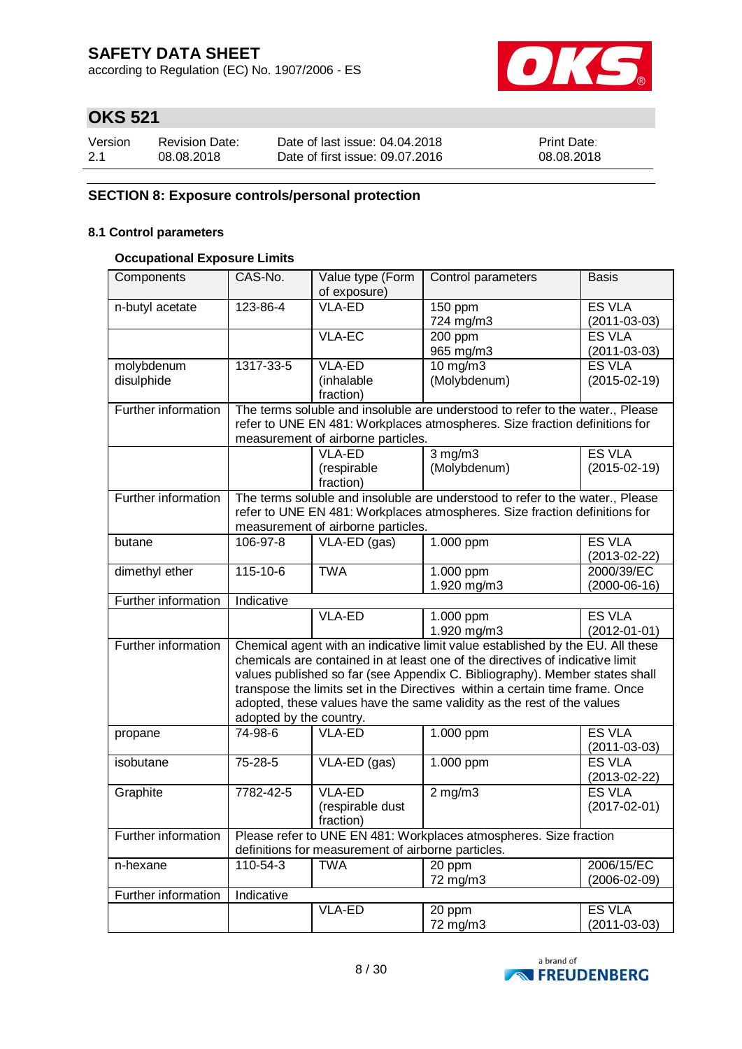according to Regulation (EC) No. 1907/2006 - ES



# **OKS 521**

| Version | <b>Revision Date:</b> | Date of last issue: 04.04.2018  | <b>Print Date:</b> |
|---------|-----------------------|---------------------------------|--------------------|
| 2.1     | 08.08.2018            | Date of first issue: 09.07.2016 | 08.08.2018         |

### **SECTION 8: Exposure controls/personal protection**

### **8.1 Control parameters**

#### **Occupational Exposure Limits**

| Components          | CAS-No.                                                                        | Value type (Form                                   | Control parameters                                                            | <b>Basis</b>       |  |
|---------------------|--------------------------------------------------------------------------------|----------------------------------------------------|-------------------------------------------------------------------------------|--------------------|--|
|                     |                                                                                | of exposure)                                       |                                                                               |                    |  |
| n-butyl acetate     | 123-86-4                                                                       | <b>VLA-ED</b>                                      | 150 ppm                                                                       | <b>ES VLA</b>      |  |
|                     |                                                                                |                                                    | 724 mg/m3                                                                     | $(2011 - 03 - 03)$ |  |
|                     |                                                                                | <b>VLA-EC</b>                                      | 200 ppm                                                                       | <b>ES VLA</b>      |  |
|                     |                                                                                |                                                    | 965 mg/m3                                                                     | $(2011 - 03 - 03)$ |  |
| molybdenum          | 1317-33-5                                                                      | <b>VLA-ED</b>                                      | 10 mg/m3                                                                      | <b>ES VLA</b>      |  |
| disulphide          |                                                                                | (inhalable                                         | (Molybdenum)                                                                  | $(2015-02-19)$     |  |
|                     |                                                                                | fraction)                                          |                                                                               |                    |  |
| Further information |                                                                                |                                                    | The terms soluble and insoluble are understood to refer to the water., Please |                    |  |
|                     |                                                                                |                                                    | refer to UNE EN 481: Workplaces atmospheres. Size fraction definitions for    |                    |  |
|                     |                                                                                | measurement of airborne particles.                 |                                                                               |                    |  |
|                     |                                                                                | <b>VLA-ED</b>                                      | $3$ mg/m $3$                                                                  | <b>ES VLA</b>      |  |
|                     |                                                                                | (respirable                                        | (Molybdenum)                                                                  | $(2015-02-19)$     |  |
|                     |                                                                                | fraction)                                          |                                                                               |                    |  |
| Further information |                                                                                |                                                    | The terms soluble and insoluble are understood to refer to the water., Please |                    |  |
|                     |                                                                                |                                                    | refer to UNE EN 481: Workplaces atmospheres. Size fraction definitions for    |                    |  |
|                     |                                                                                | measurement of airborne particles.                 |                                                                               |                    |  |
| butane              | 106-97-8                                                                       | VLA-ED (gas)                                       | 1.000 ppm                                                                     | <b>ES VLA</b>      |  |
|                     |                                                                                |                                                    |                                                                               | $(2013 - 02 - 22)$ |  |
| dimethyl ether      | 115-10-6                                                                       | <b>TWA</b>                                         | 1.000 ppm                                                                     | 2000/39/EC         |  |
|                     |                                                                                |                                                    | 1.920 mg/m3                                                                   | $(2000-06-16)$     |  |
| Further information | Indicative                                                                     |                                                    |                                                                               |                    |  |
|                     |                                                                                | <b>VLA-ED</b>                                      | 1.000 ppm                                                                     | <b>ES VLA</b>      |  |
|                     |                                                                                |                                                    | 1.920 mg/m3                                                                   | $(2012 - 01 - 01)$ |  |
| Further information | Chemical agent with an indicative limit value established by the EU. All these |                                                    |                                                                               |                    |  |
|                     | chemicals are contained in at least one of the directives of indicative limit  |                                                    |                                                                               |                    |  |
|                     |                                                                                |                                                    | values published so far (see Appendix C. Bibliography). Member states shall   |                    |  |
|                     | transpose the limits set in the Directives within a certain time frame. Once   |                                                    |                                                                               |                    |  |
|                     | adopted, these values have the same validity as the rest of the values         |                                                    |                                                                               |                    |  |
|                     | adopted by the country.                                                        |                                                    |                                                                               |                    |  |
| propane             | 74-98-6                                                                        | <b>VLA-ED</b>                                      | 1.000 ppm                                                                     | <b>ES VLA</b>      |  |
|                     |                                                                                |                                                    |                                                                               | $(2011 - 03 - 03)$ |  |
| isobutane           | 75-28-5                                                                        | VLA-ED (gas)                                       | 1.000 ppm                                                                     | <b>ES VLA</b>      |  |
|                     |                                                                                |                                                    |                                                                               | $(2013 - 02 - 22)$ |  |
| Graphite            | 7782-42-5                                                                      | <b>VLA-ED</b>                                      | $2$ mg/m $3$                                                                  | <b>ES VLA</b>      |  |
|                     |                                                                                | (respirable dust                                   |                                                                               | $(2017 - 02 - 01)$ |  |
|                     |                                                                                | fraction)                                          |                                                                               |                    |  |
| Further information |                                                                                |                                                    | Please refer to UNE EN 481: Workplaces atmospheres. Size fraction             |                    |  |
|                     |                                                                                | definitions for measurement of airborne particles. |                                                                               |                    |  |
| n-hexane            | 110-54-3                                                                       | <b>TWA</b>                                         | 20 ppm                                                                        | 2006/15/EC         |  |
|                     |                                                                                |                                                    | 72 mg/m3                                                                      | $(2006 - 02 - 09)$ |  |
| Further information | Indicative                                                                     |                                                    |                                                                               |                    |  |
|                     |                                                                                | <b>VLA-ED</b>                                      | 20 ppm                                                                        | <b>ES VLA</b>      |  |
|                     |                                                                                |                                                    | 72 mg/m3                                                                      | $(2011 - 03 - 03)$ |  |

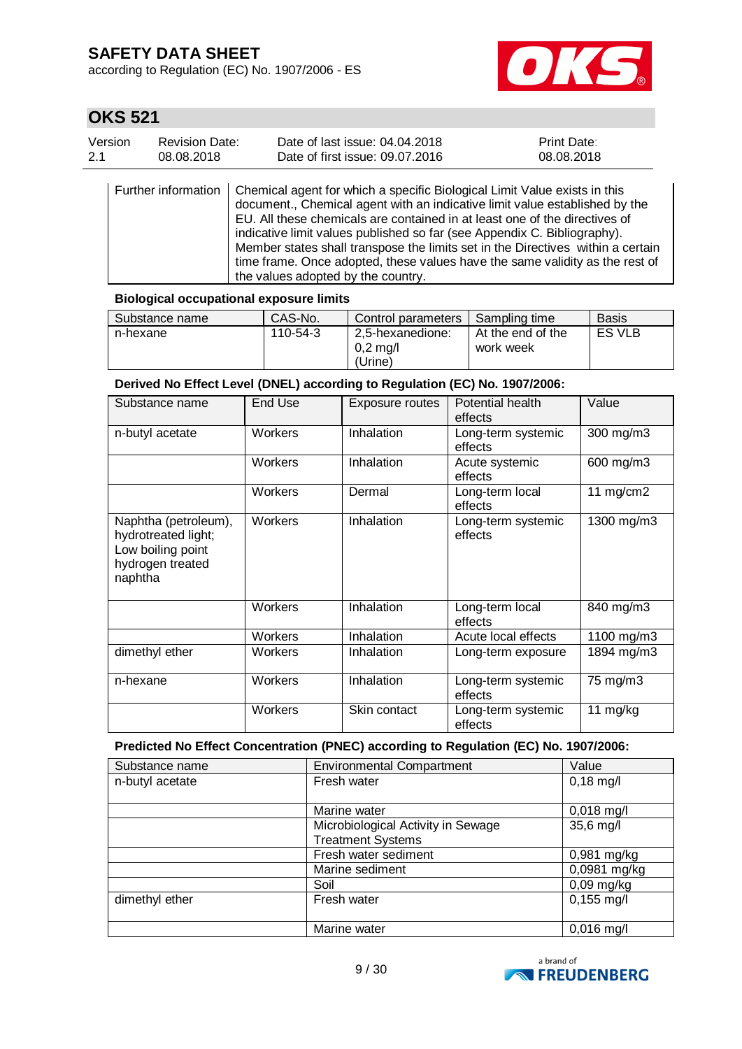according to Regulation (EC) No. 1907/2006 - ES



### **OKS 521**

| Version | Revision Date: | Date of last issue: 04.04.2018  | <b>Print Date:</b> |
|---------|----------------|---------------------------------|--------------------|
| 2.1     | 08.08.2018     | Date of first issue: 09.07.2016 | 08.08.2018         |

Further information  $\vert$  Chemical agent for which a specific Biological Limit Value exists in this document., Chemical agent with an indicative limit value established by the EU. All these chemicals are contained in at least one of the directives of indicative limit values published so far (see Appendix C. Bibliography). Member states shall transpose the limits set in the Directives within a certain time frame. Once adopted, these values have the same validity as the rest of the values adopted by the country.

#### **Biological occupational exposure limits**

| Substance name | CAS-No.  | Control parameters                                 | Sampling time                  | <b>Basis</b>  |
|----------------|----------|----------------------------------------------------|--------------------------------|---------------|
| n-hexane       | 110-54-3 | 2.5-hexanedione:<br>$0.2 \text{ m}$ g/l<br>(Urine) | At the end of the<br>work week | <b>ES VLB</b> |

#### **Derived No Effect Level (DNEL) according to Regulation (EC) No. 1907/2006:**

| Substance name                                                                                  | End Use        | Exposure routes | Potential health<br>effects   | Value        |
|-------------------------------------------------------------------------------------------------|----------------|-----------------|-------------------------------|--------------|
| n-butyl acetate                                                                                 | <b>Workers</b> | Inhalation      | Long-term systemic<br>effects | 300 mg/m3    |
|                                                                                                 | <b>Workers</b> | Inhalation      | Acute systemic<br>effects     | 600 mg/m3    |
|                                                                                                 | Workers        | Dermal          | Long-term local<br>effects    | 11 $mg/cm2$  |
| Naphtha (petroleum),<br>hydrotreated light;<br>Low boiling point<br>hydrogen treated<br>naphtha | Workers        | Inhalation      | Long-term systemic<br>effects | 1300 mg/m3   |
|                                                                                                 | <b>Workers</b> | Inhalation      | Long-term local<br>effects    | 840 mg/m3    |
|                                                                                                 | Workers        | Inhalation      | Acute local effects           | $1100$ mg/m3 |
| dimethyl ether                                                                                  | Workers        | Inhalation      | Long-term exposure            | 1894 mg/m3   |
| n-hexane                                                                                        | Workers        | Inhalation      | Long-term systemic<br>effects | 75 mg/m3     |
|                                                                                                 | Workers        | Skin contact    | Long-term systemic<br>effects | 11 $mg/kg$   |

### **Predicted No Effect Concentration (PNEC) according to Regulation (EC) No. 1907/2006:**

| Substance name  | <b>Environmental Compartment</b><br>Value |                     |
|-----------------|-------------------------------------------|---------------------|
| n-butyl acetate | Fresh water                               | $0,18 \text{ mg/l}$ |
|                 |                                           |                     |
|                 | Marine water                              | $0,018$ mg/l        |
|                 | Microbiological Activity in Sewage        | 35,6 mg/l           |
|                 | <b>Treatment Systems</b>                  |                     |
|                 | Fresh water sediment                      | $0,981$ mg/kg       |
|                 | Marine sediment                           | 0,0981 mg/kg        |
|                 | Soil                                      | $0,09$ mg/kg        |
| dimethyl ether  | Fresh water                               | $0,155$ mg/l        |
|                 |                                           |                     |
|                 | Marine water                              | $0,016$ mg/l        |

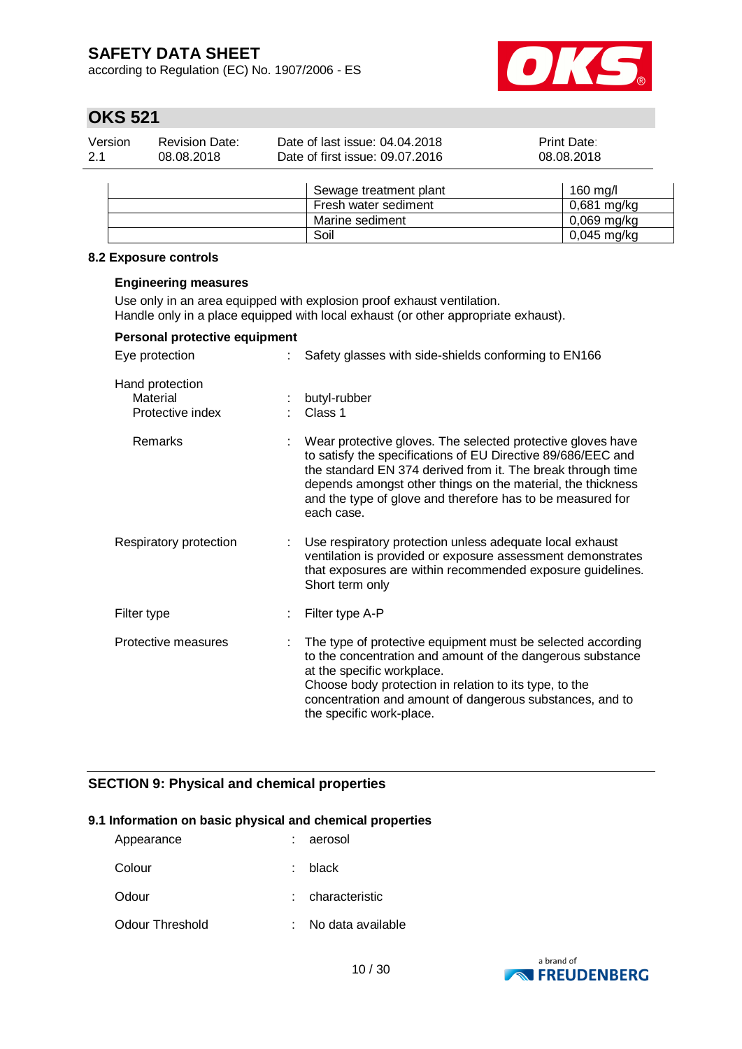according to Regulation (EC) No. 1907/2006 - ES



# **OKS 521**

| Version | Revision Date: | Date of last issue: 04.04.2018  | <b>Print Date:</b> |
|---------|----------------|---------------------------------|--------------------|
| 2.1     | 08.08.2018     | Date of first issue: 09.07.2016 | 08.08.2018         |

|  | Sewage treatment plant | $160 \text{ ma/l}$ |
|--|------------------------|--------------------|
|  | Fresh water sediment   | $0,681$ mg/kg      |
|  | Marine sediment        | $0,069$ mg/kg      |
|  | Soil                   | $0,045$ mg/kg      |

#### **8.2 Exposure controls**

#### **Engineering measures**

Use only in an area equipped with explosion proof exhaust ventilation. Handle only in a place equipped with local exhaust (or other appropriate exhaust).

| Personal protective equipment                   |                                                                                                                                                                                                                                                                                                                                       |
|-------------------------------------------------|---------------------------------------------------------------------------------------------------------------------------------------------------------------------------------------------------------------------------------------------------------------------------------------------------------------------------------------|
| Eye protection                                  | Safety glasses with side-shields conforming to EN166                                                                                                                                                                                                                                                                                  |
| Hand protection<br>Material<br>Protective index | butyl-rubber<br>Class 1                                                                                                                                                                                                                                                                                                               |
| Remarks                                         | Wear protective gloves. The selected protective gloves have<br>to satisfy the specifications of EU Directive 89/686/EEC and<br>the standard EN 374 derived from it. The break through time<br>depends amongst other things on the material, the thickness<br>and the type of glove and therefore has to be measured for<br>each case. |
| Respiratory protection                          | Use respiratory protection unless adequate local exhaust<br>ventilation is provided or exposure assessment demonstrates<br>that exposures are within recommended exposure guidelines.<br>Short term only                                                                                                                              |
| Filter type                                     | Filter type A-P                                                                                                                                                                                                                                                                                                                       |
| Protective measures                             | The type of protective equipment must be selected according<br>to the concentration and amount of the dangerous substance<br>at the specific workplace.<br>Choose body protection in relation to its type, to the<br>concentration and amount of dangerous substances, and to<br>the specific work-place.                             |

### **SECTION 9: Physical and chemical properties**

### **9.1 Information on basic physical and chemical properties**

| Appearance      | aerosol           |
|-----------------|-------------------|
| Colour          | $:$ black         |
| Odour           | : characteristic  |
| Odour Threshold | No data available |

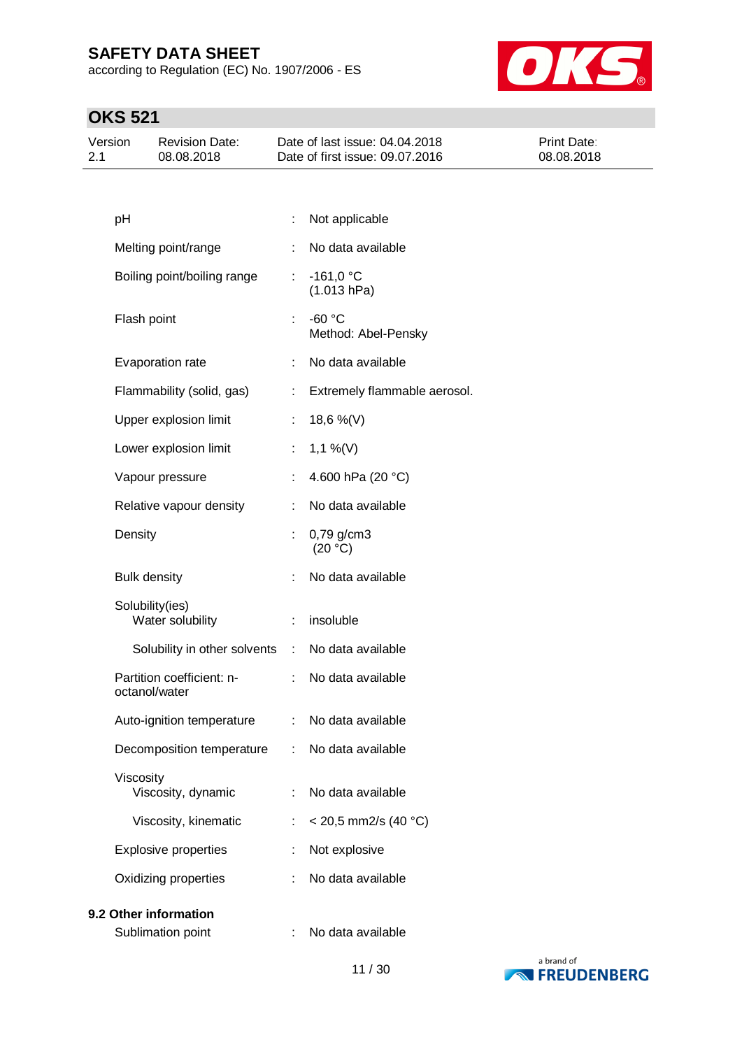according to Regulation (EC) No. 1907/2006 - ES



# **OKS 521**

| Version<br>2.1 |                     | <b>Revision Date:</b><br>08.08.2018        |    | Date of last issue: 04.04.2018<br>Date of first issue: 09.07.2016 | Print Date:<br>08.08.2018 |
|----------------|---------------------|--------------------------------------------|----|-------------------------------------------------------------------|---------------------------|
|                |                     |                                            |    |                                                                   |                           |
|                | pH                  |                                            | ÷  | Not applicable                                                    |                           |
|                |                     | Melting point/range                        |    | No data available                                                 |                           |
|                |                     | Boiling point/boiling range                | ÷  | $-161,0 °C$<br>(1.013 hPa)                                        |                           |
|                | Flash point         |                                            | ÷  | $-60$ °C<br>Method: Abel-Pensky                                   |                           |
|                |                     | Evaporation rate                           | ÷  | No data available                                                 |                           |
|                |                     | Flammability (solid, gas)                  | ÷  | Extremely flammable aerosol.                                      |                           |
|                |                     | Upper explosion limit                      | ÷  | 18,6 %(V)                                                         |                           |
|                |                     | Lower explosion limit                      |    | $1,1\%$ (V)                                                       |                           |
|                |                     | Vapour pressure                            |    | 4.600 hPa (20 °C)                                                 |                           |
|                |                     | Relative vapour density                    | ÷  | No data available                                                 |                           |
|                | Density             |                                            |    | $0,79$ g/cm3<br>(20 °C)                                           |                           |
|                | <b>Bulk density</b> |                                            |    | No data available                                                 |                           |
|                |                     | Solubility(ies)<br>Water solubility        | ÷  | insoluble                                                         |                           |
|                |                     | Solubility in other solvents :             |    | No data available                                                 |                           |
|                |                     | Partition coefficient: n-<br>octanol/water | ÷  | No data available                                                 |                           |
|                |                     | Auto-ignition temperature                  | ÷  | No data available                                                 |                           |
|                |                     | Decomposition temperature                  | ÷  | No data available                                                 |                           |
|                | Viscosity           | Viscosity, dynamic                         | ÷  | No data available                                                 |                           |
|                |                     | Viscosity, kinematic                       | t, | $<$ 20,5 mm2/s (40 °C)                                            |                           |
|                |                     | Explosive properties                       | t  | Not explosive                                                     |                           |
|                |                     | Oxidizing properties                       | ÷  | No data available                                                 |                           |
|                |                     | 9.2 Other information                      |    |                                                                   |                           |



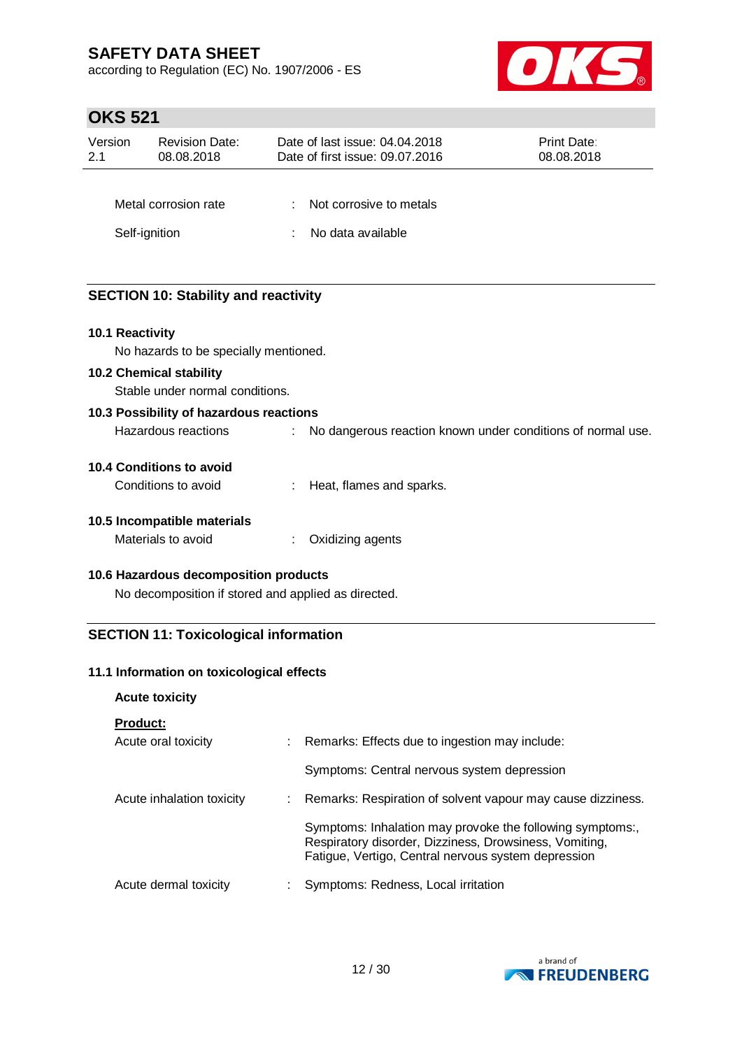according to Regulation (EC) No. 1907/2006 - ES



# **OKS 521**

| Version<br>2.1 | <b>Revision Date:</b><br>08.08.2018         | Date of last issue: 04.04.2018<br>Date of first issue: 09.07.2016 | <b>Print Date:</b><br>08.08.2018 |  |  |
|----------------|---------------------------------------------|-------------------------------------------------------------------|----------------------------------|--|--|
|                |                                             |                                                                   |                                  |  |  |
|                | Metal corrosion rate                        | Not corrosive to metals<br>÷                                      |                                  |  |  |
| Self-ignition  |                                             | No data available<br>t                                            |                                  |  |  |
|                |                                             |                                                                   |                                  |  |  |
|                | <b>SECTION 10: Stability and reactivity</b> |                                                                   |                                  |  |  |
|                | 10.1 Reactivity                             |                                                                   |                                  |  |  |
|                | No hazards to be specially mentioned.       |                                                                   |                                  |  |  |
|                | <b>10.2 Chemical stability</b>              |                                                                   |                                  |  |  |

Stable under normal conditions.

#### **10.3 Possibility of hazardous reactions**

| Hazardous reactions |  | No dangerous reaction known under conditions of normal use. |
|---------------------|--|-------------------------------------------------------------|
|---------------------|--|-------------------------------------------------------------|

### **10.4 Conditions to avoid**

| Conditions to avoid |  | Heat, flames and sparks. |
|---------------------|--|--------------------------|
|---------------------|--|--------------------------|

### **10.5 Incompatible materials**

#### **10.6 Hazardous decomposition products**

No decomposition if stored and applied as directed.

### **SECTION 11: Toxicological information**

#### **11.1 Information on toxicological effects**

# **Acute toxicity Product:** Acute oral toxicity : Remarks: Effects due to ingestion may include: Symptoms: Central nervous system depression Acute inhalation toxicity : Remarks: Respiration of solvent vapour may cause dizziness. Symptoms: Inhalation may provoke the following symptoms:, Respiratory disorder, Dizziness, Drowsiness, Vomiting, Fatigue, Vertigo, Central nervous system depression Acute dermal toxicity : Symptoms: Redness, Local irritation

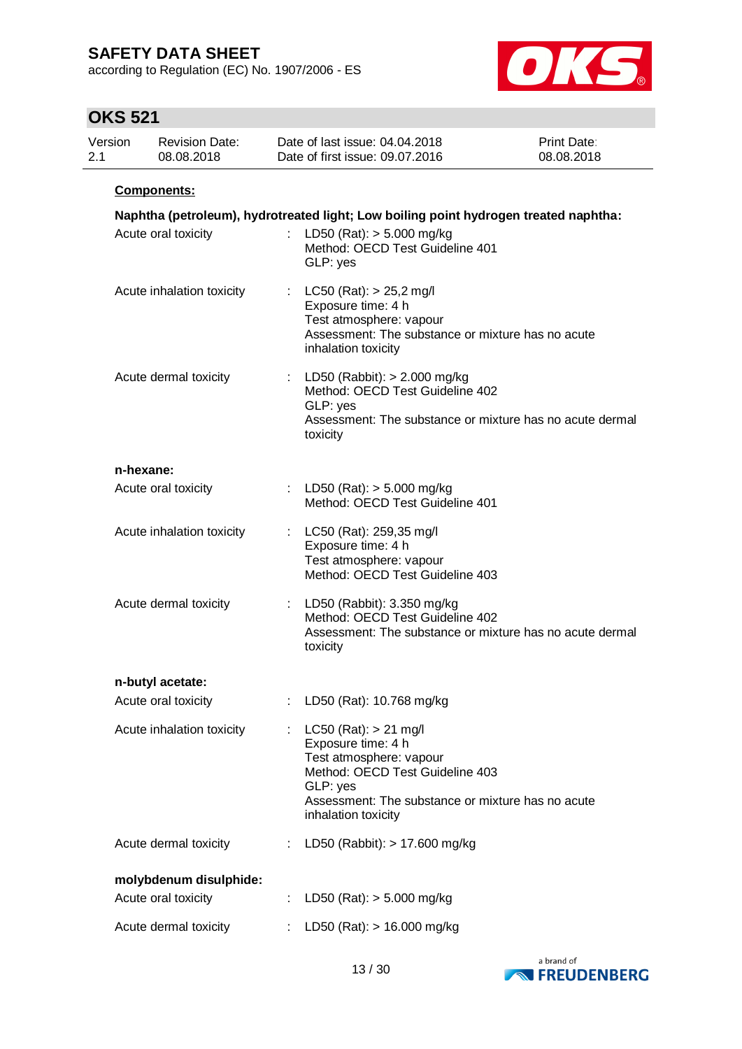according to Regulation (EC) No. 1907/2006 - ES



# **OKS 521**

|     | $\sim$ $\sim$ $\sim$ $\sim$ |                                               |    |                                                                                                                                                                                                       |                           |
|-----|-----------------------------|-----------------------------------------------|----|-------------------------------------------------------------------------------------------------------------------------------------------------------------------------------------------------------|---------------------------|
| 2.1 | Version                     | <b>Revision Date:</b><br>08.08.2018           |    | Date of last issue: 04.04.2018<br>Date of first issue: 09.07.2016                                                                                                                                     | Print Date:<br>08.08.2018 |
|     |                             | Components:                                   |    |                                                                                                                                                                                                       |                           |
|     |                             |                                               |    | Naphtha (petroleum), hydrotreated light; Low boiling point hydrogen treated naphtha:                                                                                                                  |                           |
|     |                             | Acute oral toxicity                           |    | LD50 (Rat): $> 5.000$ mg/kg<br>Method: OECD Test Guideline 401<br>GLP: yes                                                                                                                            |                           |
|     |                             | Acute inhalation toxicity                     | ÷. | $LC50$ (Rat): $> 25,2$ mg/l<br>Exposure time: 4 h<br>Test atmosphere: vapour<br>Assessment: The substance or mixture has no acute<br>inhalation toxicity                                              |                           |
|     |                             | Acute dermal toxicity                         |    | : LD50 (Rabbit): $> 2.000$ mg/kg<br>Method: OECD Test Guideline 402<br>GLP: yes<br>Assessment: The substance or mixture has no acute dermal<br>toxicity                                               |                           |
|     | n-hexane:                   |                                               |    |                                                                                                                                                                                                       |                           |
|     |                             | Acute oral toxicity                           |    | LD50 (Rat): $>$ 5.000 mg/kg<br>Method: OECD Test Guideline 401                                                                                                                                        |                           |
|     |                             | Acute inhalation toxicity                     |    | LC50 (Rat): 259,35 mg/l<br>Exposure time: 4 h<br>Test atmosphere: vapour<br>Method: OECD Test Guideline 403                                                                                           |                           |
|     |                             | Acute dermal toxicity                         |    | : LD50 (Rabbit): $3.350$ mg/kg<br>Method: OECD Test Guideline 402<br>Assessment: The substance or mixture has no acute dermal<br>toxicity                                                             |                           |
|     |                             | n-butyl acetate:                              |    |                                                                                                                                                                                                       |                           |
|     |                             | Acute oral toxicity                           |    | : LD50 (Rat): 10.768 mg/kg                                                                                                                                                                            |                           |
|     |                             | Acute inhalation toxicity                     | t. | $LC50$ (Rat): $> 21$ mg/l<br>Exposure time: 4 h<br>Test atmosphere: vapour<br>Method: OECD Test Guideline 403<br>GLP: yes<br>Assessment: The substance or mixture has no acute<br>inhalation toxicity |                           |
|     |                             | Acute dermal toxicity                         |    | LD50 (Rabbit): > 17.600 mg/kg                                                                                                                                                                         |                           |
|     |                             |                                               |    |                                                                                                                                                                                                       |                           |
|     |                             | molybdenum disulphide:<br>Acute oral toxicity |    | LD50 (Rat): $> 5.000$ mg/kg                                                                                                                                                                           |                           |
|     |                             | Acute dermal toxicity                         | ÷. | LD50 (Rat): > 16.000 mg/kg                                                                                                                                                                            |                           |

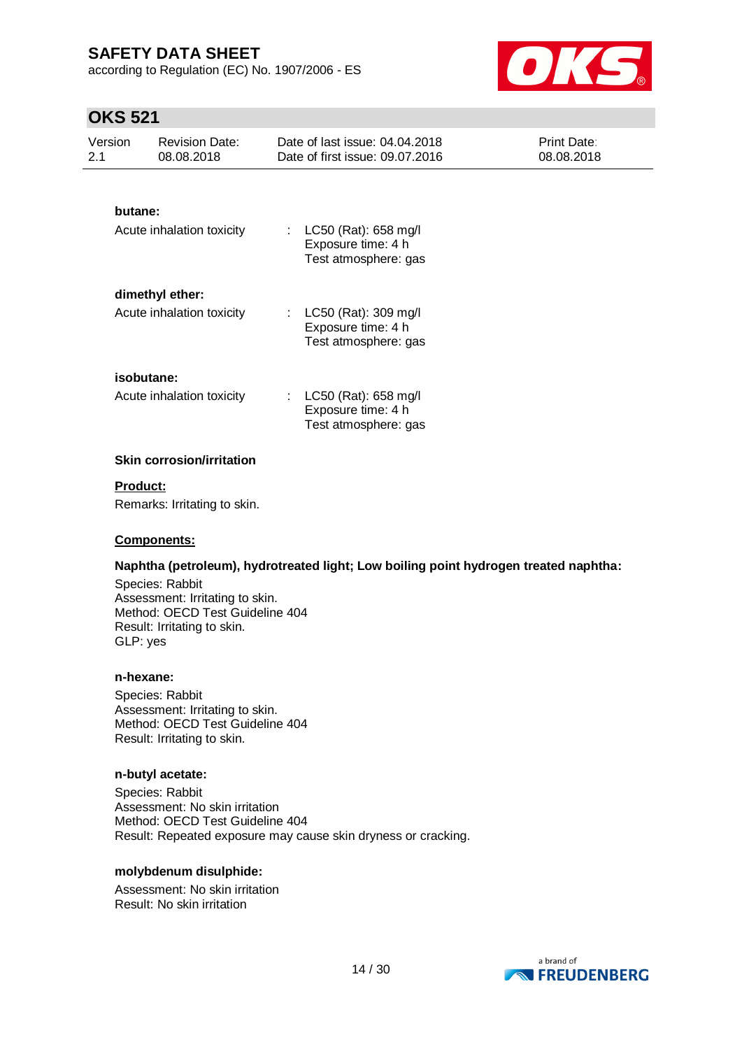according to Regulation (EC) No. 1907/2006 - ES



# **OKS 521**

| Version<br>2.1 | <b>Revision Date:</b><br>08.08.2018          | Date of last issue: 04.04.2018<br>Date of first issue: 09.07.2016        | Print Date:<br>08.08.2018 |
|----------------|----------------------------------------------|--------------------------------------------------------------------------|---------------------------|
| butane:        | Acute inhalation toxicity                    | LC50 (Rat): 658 mg/l<br>÷.<br>Exposure time: 4 h<br>Test atmosphere: gas |                           |
|                | dimethyl ether:<br>Acute inhalation toxicity | : $LC50$ (Rat): 309 mg/l<br>Exposure time: 4 h<br>Test atmosphere: gas   |                           |
|                | isobutane:<br>Acute inhalation toxicity      | LC50 (Rat): 658 mg/l<br>÷.<br>Exposure time: 4 h<br>Test atmosphere: gas |                           |
|                | <b>Skin corrosion/irritation</b>             |                                                                          |                           |

# Remarks: Irritating to skin.

**Product:**

### **Components:**

#### **Naphtha (petroleum), hydrotreated light; Low boiling point hydrogen treated naphtha:**

Species: Rabbit Assessment: Irritating to skin. Method: OECD Test Guideline 404 Result: Irritating to skin. GLP: yes

#### **n-hexane:**

Species: Rabbit Assessment: Irritating to skin. Method: OECD Test Guideline 404 Result: Irritating to skin.

#### **n-butyl acetate:**

Species: Rabbit Assessment: No skin irritation Method: OECD Test Guideline 404 Result: Repeated exposure may cause skin dryness or cracking.

#### **molybdenum disulphide:**

Assessment: No skin irritation Result: No skin irritation

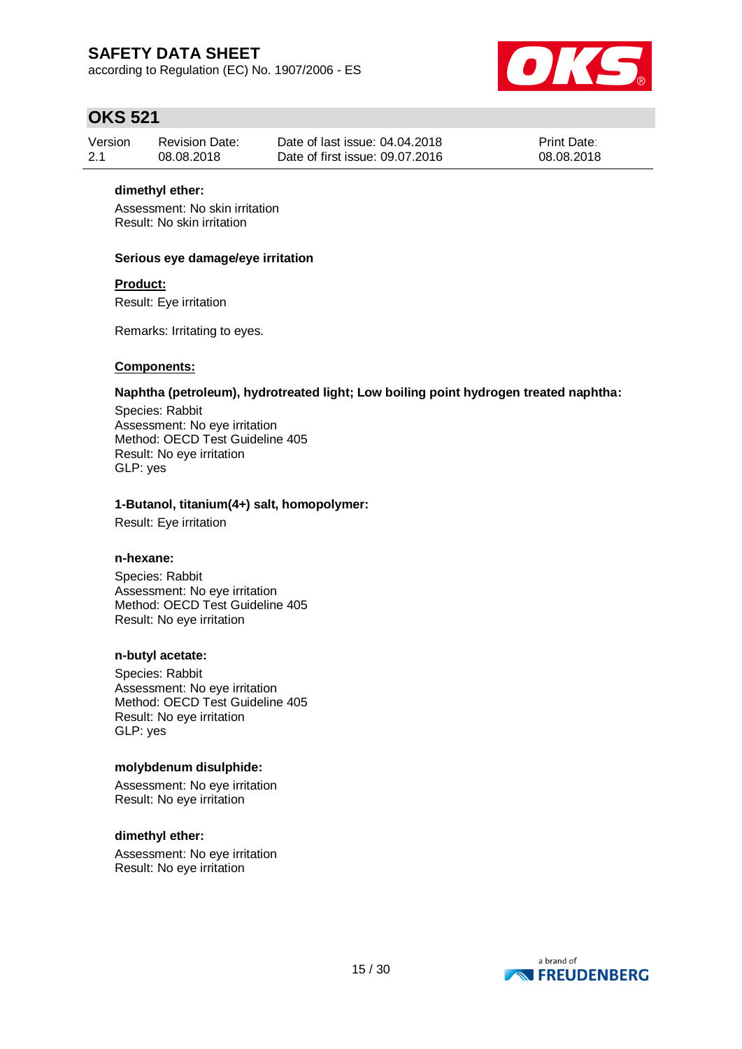according to Regulation (EC) No. 1907/2006 - ES



### **OKS 521**

| Version | <b>Revision Date:</b> | Date of last issue: 04.04.2018  | <b>Print Date:</b> |
|---------|-----------------------|---------------------------------|--------------------|
| 2.1     | 08.08.2018            | Date of first issue: 09.07.2016 | 08.08.2018         |

#### **dimethyl ether:**

Assessment: No skin irritation Result: No skin irritation

#### **Serious eye damage/eye irritation**

#### **Product:**

Result: Eye irritation

Remarks: Irritating to eyes.

#### **Components:**

#### **Naphtha (petroleum), hydrotreated light; Low boiling point hydrogen treated naphtha:**

Species: Rabbit Assessment: No eye irritation Method: OECD Test Guideline 405 Result: No eye irritation GLP: yes

#### **1-Butanol, titanium(4+) salt, homopolymer:**

Result: Eye irritation

#### **n-hexane:**

Species: Rabbit Assessment: No eye irritation Method: OECD Test Guideline 405 Result: No eye irritation

#### **n-butyl acetate:**

Species: Rabbit Assessment: No eye irritation Method: OECD Test Guideline 405 Result: No eye irritation GLP: yes

#### **molybdenum disulphide:**

Assessment: No eye irritation Result: No eye irritation

#### **dimethyl ether:**

Assessment: No eye irritation Result: No eye irritation

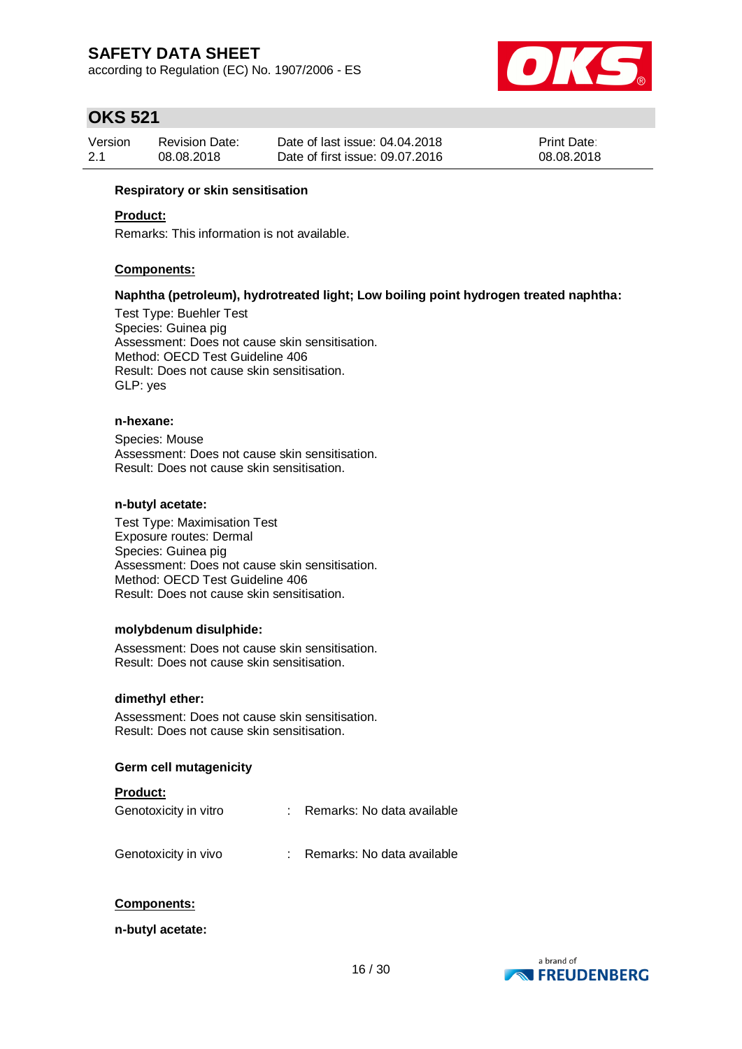according to Regulation (EC) No. 1907/2006 - ES



### **OKS 521**

| Version | <b>Revision Date:</b> | Date of last issue: 04.04.2018  | <b>Print Date:</b> |
|---------|-----------------------|---------------------------------|--------------------|
| 2.1     | 08.08.2018            | Date of first issue: 09.07.2016 | 08.08.2018         |

#### **Respiratory or skin sensitisation**

#### **Product:**

Remarks: This information is not available.

#### **Components:**

#### **Naphtha (petroleum), hydrotreated light; Low boiling point hydrogen treated naphtha:**

Test Type: Buehler Test Species: Guinea pig Assessment: Does not cause skin sensitisation. Method: OECD Test Guideline 406 Result: Does not cause skin sensitisation. GLP: yes

#### **n-hexane:**

Species: Mouse Assessment: Does not cause skin sensitisation. Result: Does not cause skin sensitisation.

#### **n-butyl acetate:**

Test Type: Maximisation Test Exposure routes: Dermal Species: Guinea pig Assessment: Does not cause skin sensitisation. Method: OECD Test Guideline 406 Result: Does not cause skin sensitisation.

#### **molybdenum disulphide:**

Assessment: Does not cause skin sensitisation. Result: Does not cause skin sensitisation.

#### **dimethyl ether:**

Assessment: Does not cause skin sensitisation. Result: Does not cause skin sensitisation.

#### **Germ cell mutagenicity**

#### **Product:**

| Genotoxicity in vitro | Remarks: No data available |
|-----------------------|----------------------------|
|                       |                            |

Genotoxicity in vivo : Remarks: No data available

#### **Components:**

**n-butyl acetate:**

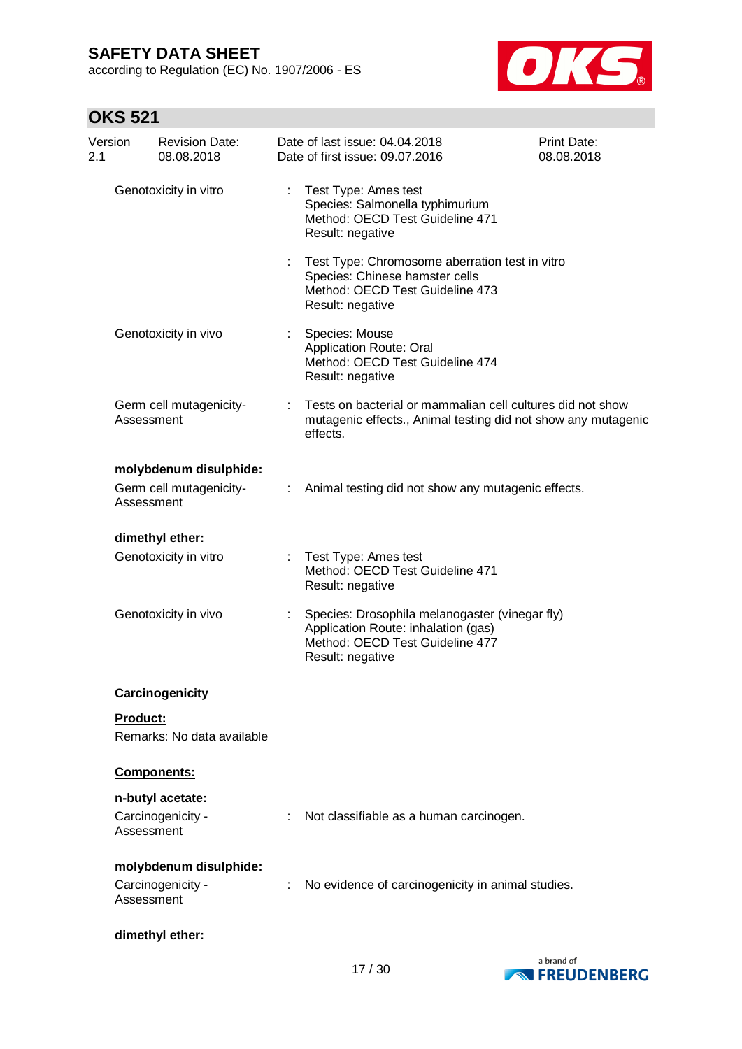according to Regulation (EC) No. 1907/2006 - ES



# **OKS 521**

| Version<br>2.1 | <b>Revision Date:</b><br>08.08.2018                             |   | Date of last issue: 04.04.2018<br>Date of first issue: 09.07.2016                                                                            | <b>Print Date:</b><br>08.08.2018 |
|----------------|-----------------------------------------------------------------|---|----------------------------------------------------------------------------------------------------------------------------------------------|----------------------------------|
|                | Genotoxicity in vitro                                           | ÷ | Test Type: Ames test<br>Species: Salmonella typhimurium<br>Method: OECD Test Guideline 471<br>Result: negative                               |                                  |
|                |                                                                 |   | Test Type: Chromosome aberration test in vitro<br>Species: Chinese hamster cells<br>Method: OECD Test Guideline 473<br>Result: negative      |                                  |
|                | Genotoxicity in vivo                                            |   | Species: Mouse<br>Application Route: Oral<br>Method: OECD Test Guideline 474<br>Result: negative                                             |                                  |
|                | Germ cell mutagenicity-<br>Assessment                           | ÷ | Tests on bacterial or mammalian cell cultures did not show<br>mutagenic effects., Animal testing did not show any mutagenic<br>effects.      |                                  |
|                | molybdenum disulphide:<br>Germ cell mutagenicity-<br>Assessment |   | : Animal testing did not show any mutagenic effects.                                                                                         |                                  |
|                | dimethyl ether:                                                 |   |                                                                                                                                              |                                  |
|                | Genotoxicity in vitro                                           | ÷ | Test Type: Ames test<br>Method: OECD Test Guideline 471<br>Result: negative                                                                  |                                  |
|                | Genotoxicity in vivo                                            |   | Species: Drosophila melanogaster (vinegar fly)<br>Application Route: inhalation (gas)<br>Method: OECD Test Guideline 477<br>Result: negative |                                  |
|                | Carcinogenicity                                                 |   |                                                                                                                                              |                                  |
|                |                                                                 |   |                                                                                                                                              |                                  |
| Product:       | Remarks: No data available                                      |   |                                                                                                                                              |                                  |
|                | Components:                                                     |   |                                                                                                                                              |                                  |
|                | n-butyl acetate:                                                |   |                                                                                                                                              |                                  |
|                | Carcinogenicity -<br>Assessment                                 | ÷ | Not classifiable as a human carcinogen.                                                                                                      |                                  |
|                | molybdenum disulphide:                                          |   |                                                                                                                                              |                                  |
|                | Carcinogenicity -<br>Assessment                                 | ÷ | No evidence of carcinogenicity in animal studies.                                                                                            |                                  |
|                | dimethyl ether:                                                 |   |                                                                                                                                              |                                  |

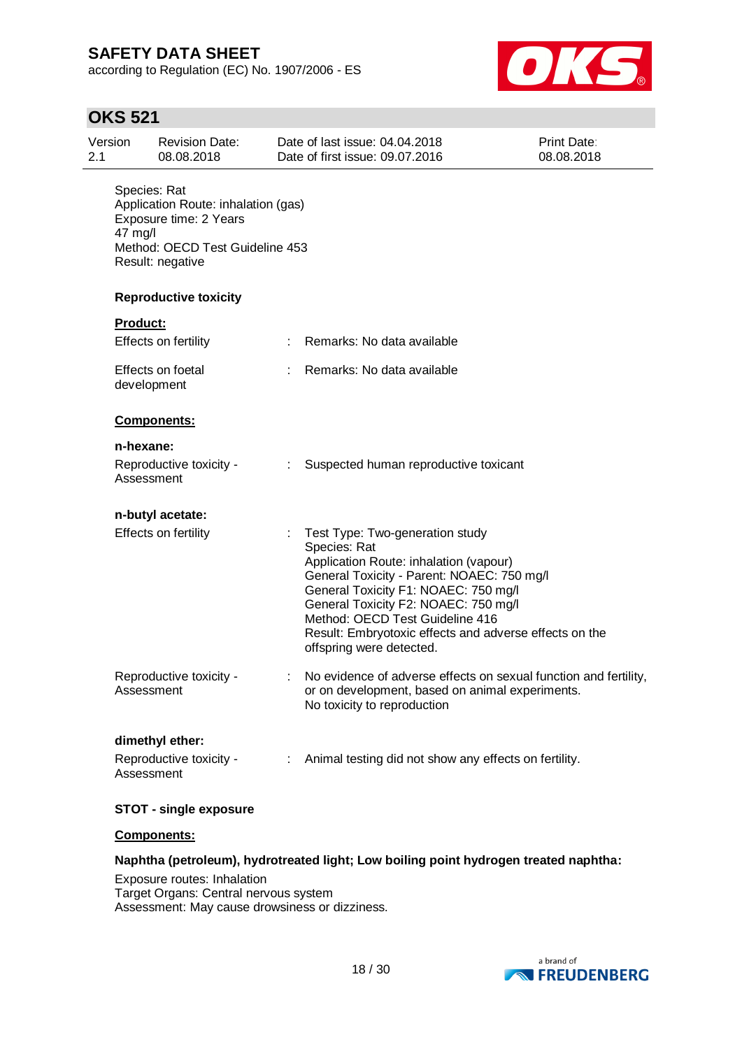according to Regulation (EC) No. 1907/2006 - ES



# **OKS 521**

| Version<br>2.1 |                         | <b>Revision Date:</b><br>08.08.2018                                                                                  |                | Date of last issue: 04.04.2018<br>Date of first issue: 09.07.2016                                                                                                                                                                                                                                                                                | <b>Print Date:</b><br>08.08.2018 |
|----------------|-------------------------|----------------------------------------------------------------------------------------------------------------------|----------------|--------------------------------------------------------------------------------------------------------------------------------------------------------------------------------------------------------------------------------------------------------------------------------------------------------------------------------------------------|----------------------------------|
|                | Species: Rat<br>47 mg/l | Application Route: inhalation (gas)<br>Exposure time: 2 Years<br>Method: OECD Test Guideline 453<br>Result: negative |                |                                                                                                                                                                                                                                                                                                                                                  |                                  |
|                |                         | <b>Reproductive toxicity</b>                                                                                         |                |                                                                                                                                                                                                                                                                                                                                                  |                                  |
|                | <b>Product:</b>         | Effects on fertility                                                                                                 |                | : Remarks: No data available                                                                                                                                                                                                                                                                                                                     |                                  |
|                | development             | Effects on foetal                                                                                                    |                | Remarks: No data available                                                                                                                                                                                                                                                                                                                       |                                  |
|                |                         | Components:                                                                                                          |                |                                                                                                                                                                                                                                                                                                                                                  |                                  |
|                | n-hexane:               |                                                                                                                      |                |                                                                                                                                                                                                                                                                                                                                                  |                                  |
|                | Assessment              | Reproductive toxicity -                                                                                              | $\mathbb{R}^n$ | Suspected human reproductive toxicant                                                                                                                                                                                                                                                                                                            |                                  |
|                |                         | n-butyl acetate:                                                                                                     |                |                                                                                                                                                                                                                                                                                                                                                  |                                  |
|                |                         | Effects on fertility                                                                                                 |                | Test Type: Two-generation study<br>Species: Rat<br>Application Route: inhalation (vapour)<br>General Toxicity - Parent: NOAEC: 750 mg/l<br>General Toxicity F1: NOAEC: 750 mg/l<br>General Toxicity F2: NOAEC: 750 mg/l<br>Method: OECD Test Guideline 416<br>Result: Embryotoxic effects and adverse effects on the<br>offspring were detected. |                                  |
|                | Assessment              | Reproductive toxicity -                                                                                              |                | No evidence of adverse effects on sexual function and fertility,<br>or on development, based on animal experiments.<br>No toxicity to reproduction                                                                                                                                                                                               |                                  |
|                |                         | dimethyl ether:                                                                                                      |                |                                                                                                                                                                                                                                                                                                                                                  |                                  |
|                | Assessment              | Reproductive toxicity -                                                                                              |                | Animal testing did not show any effects on fertility.                                                                                                                                                                                                                                                                                            |                                  |

### **STOT - single exposure**

### **Components:**

### **Naphtha (petroleum), hydrotreated light; Low boiling point hydrogen treated naphtha:**

Exposure routes: Inhalation Target Organs: Central nervous system Assessment: May cause drowsiness or dizziness.

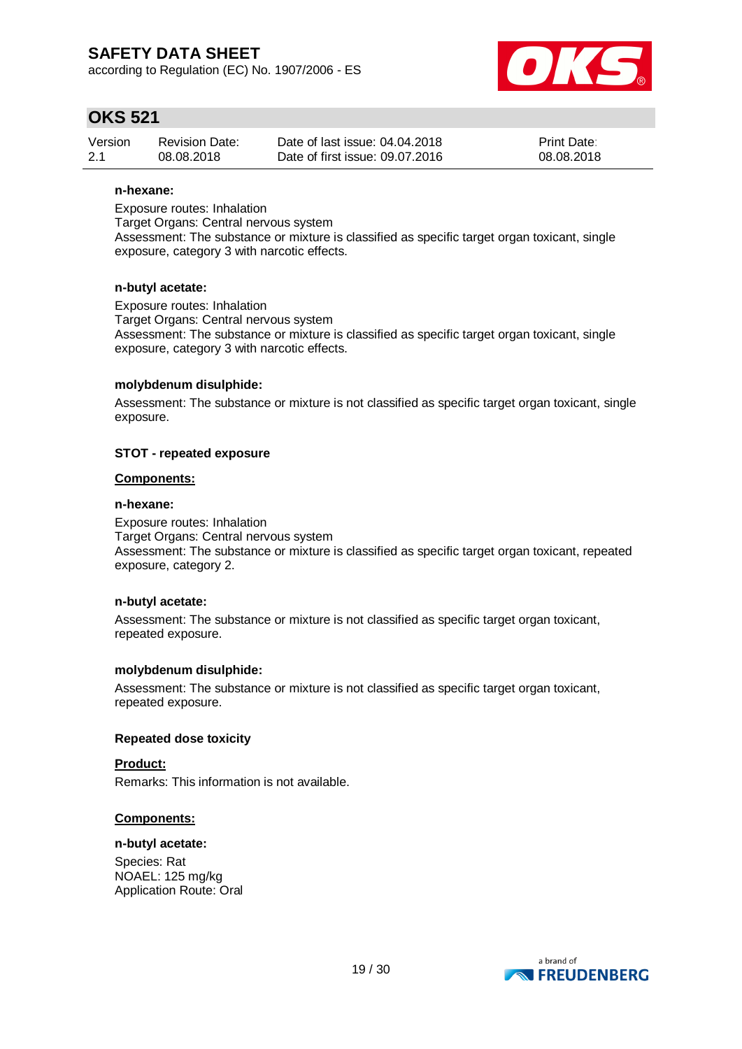according to Regulation (EC) No. 1907/2006 - ES



### **OKS 521**

| Version | <b>Revision Date:</b> | Date of last issue: 04.04.2018  | <b>Print Date:</b> |
|---------|-----------------------|---------------------------------|--------------------|
| 2.1     | 08.08.2018            | Date of first issue: 09.07.2016 | 08.08.2018         |

#### **n-hexane:**

Exposure routes: Inhalation Target Organs: Central nervous system Assessment: The substance or mixture is classified as specific target organ toxicant, single exposure, category 3 with narcotic effects.

#### **n-butyl acetate:**

Exposure routes: Inhalation Target Organs: Central nervous system Assessment: The substance or mixture is classified as specific target organ toxicant, single exposure, category 3 with narcotic effects.

#### **molybdenum disulphide:**

Assessment: The substance or mixture is not classified as specific target organ toxicant, single exposure.

#### **STOT - repeated exposure**

#### **Components:**

#### **n-hexane:**

Exposure routes: Inhalation Target Organs: Central nervous system Assessment: The substance or mixture is classified as specific target organ toxicant, repeated exposure, category 2.

#### **n-butyl acetate:**

Assessment: The substance or mixture is not classified as specific target organ toxicant, repeated exposure.

#### **molybdenum disulphide:**

Assessment: The substance or mixture is not classified as specific target organ toxicant, repeated exposure.

#### **Repeated dose toxicity**

**Product:** Remarks: This information is not available.

#### **Components:**

#### **n-butyl acetate:**

Species: Rat NOAEL: 125 mg/kg Application Route: Oral

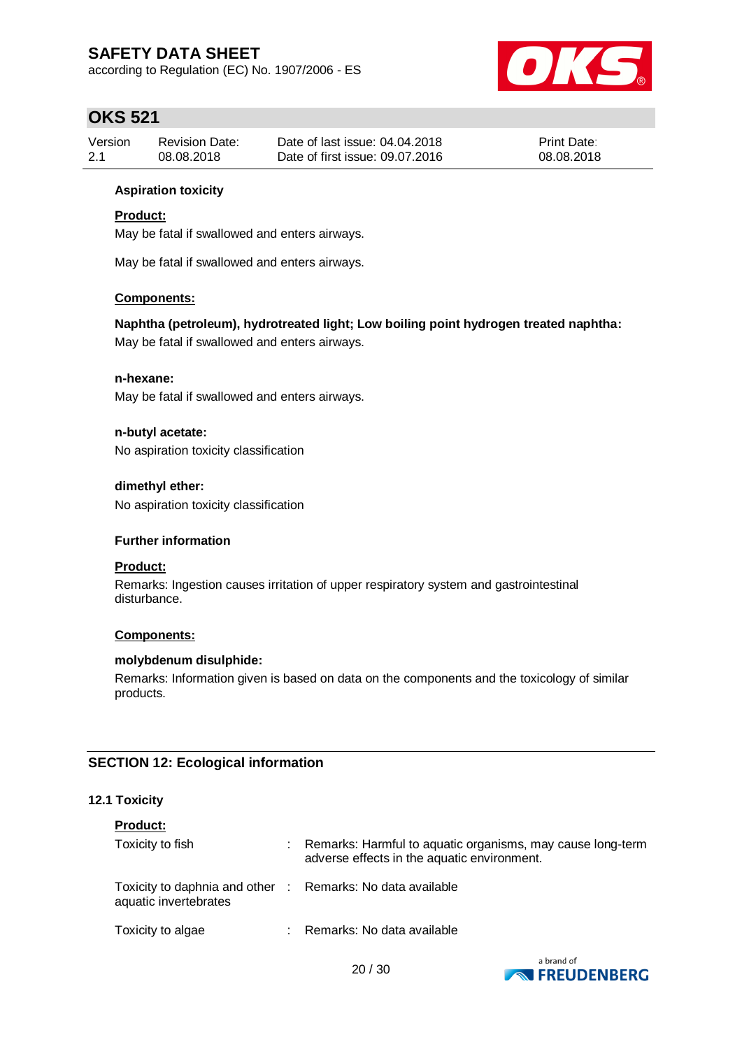according to Regulation (EC) No. 1907/2006 - ES



### **OKS 521**

| Version | <b>Revision Date:</b> | Date of last issue: 04.04.2018  | <b>Print Date:</b> |
|---------|-----------------------|---------------------------------|--------------------|
| 2.1     | 08.08.2018            | Date of first issue: 09.07.2016 | 08.08.2018         |

### **Aspiration toxicity**

### **Product:**

May be fatal if swallowed and enters airways.

May be fatal if swallowed and enters airways.

#### **Components:**

### **Naphtha (petroleum), hydrotreated light; Low boiling point hydrogen treated naphtha:**

May be fatal if swallowed and enters airways.

### **n-hexane:**

May be fatal if swallowed and enters airways.

**n-butyl acetate:** No aspiration toxicity classification

**dimethyl ether:** No aspiration toxicity classification

#### **Further information**

### **Product:**

Remarks: Ingestion causes irritation of upper respiratory system and gastrointestinal disturbance.

### **Components:**

#### **molybdenum disulphide:**

Remarks: Information given is based on data on the components and the toxicology of similar products.

### **SECTION 12: Ecological information**

#### **12.1 Toxicity**

| <b>Product:</b>                                          |    |                                                                                                           |
|----------------------------------------------------------|----|-----------------------------------------------------------------------------------------------------------|
| Toxicity to fish                                         | ÷  | Remarks: Harmful to aquatic organisms, may cause long-term<br>adverse effects in the aquatic environment. |
| Toxicity to daphnia and other :<br>aquatic invertebrates |    | Remarks: No data available                                                                                |
| Toxicity to algae                                        | л. | Remarks: No data available                                                                                |

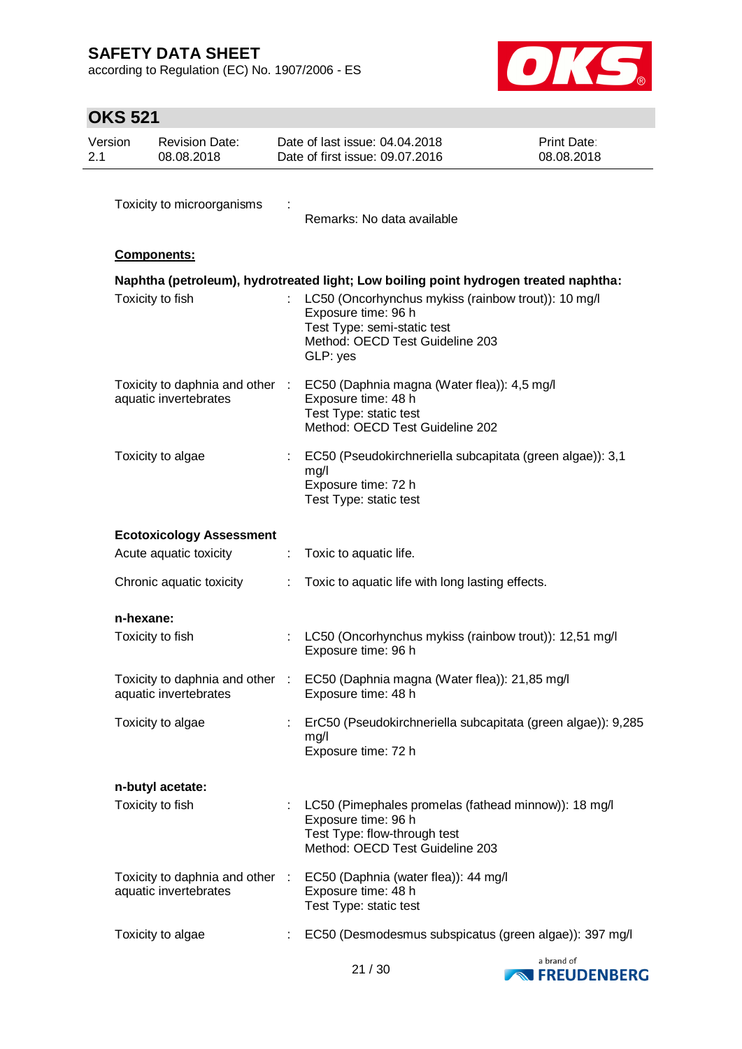according to Regulation (EC) No. 1907/2006 - ES



# **OKS 521**

| Version<br>2.1 |           | <b>Revision Date:</b><br>08.08.2018                      | Date of last issue: 04.04.2018<br>Print Date:<br>Date of first issue: 09.07.2016<br>08.08.2018 |                                                                                                                                                                                                                                                  |  |  |  |
|----------------|-----------|----------------------------------------------------------|------------------------------------------------------------------------------------------------|--------------------------------------------------------------------------------------------------------------------------------------------------------------------------------------------------------------------------------------------------|--|--|--|
|                |           | Toxicity to microorganisms                               |                                                                                                | Remarks: No data available                                                                                                                                                                                                                       |  |  |  |
|                |           | Components:                                              |                                                                                                |                                                                                                                                                                                                                                                  |  |  |  |
|                |           | Toxicity to fish                                         |                                                                                                | Naphtha (petroleum), hydrotreated light; Low boiling point hydrogen treated naphtha:<br>LC50 (Oncorhynchus mykiss (rainbow trout)): 10 mg/l<br>Exposure time: 96 h<br>Test Type: semi-static test<br>Method: OECD Test Guideline 203<br>GLP: yes |  |  |  |
|                |           | Toxicity to daphnia and other :<br>aquatic invertebrates |                                                                                                | EC50 (Daphnia magna (Water flea)): 4,5 mg/l<br>Exposure time: 48 h<br>Test Type: static test<br>Method: OECD Test Guideline 202                                                                                                                  |  |  |  |
|                |           | Toxicity to algae                                        |                                                                                                | EC50 (Pseudokirchneriella subcapitata (green algae)): 3,1<br>mg/l<br>Exposure time: 72 h<br>Test Type: static test                                                                                                                               |  |  |  |
|                |           | <b>Ecotoxicology Assessment</b>                          |                                                                                                |                                                                                                                                                                                                                                                  |  |  |  |
|                |           | Acute aquatic toxicity                                   | ÷.                                                                                             | Toxic to aquatic life.                                                                                                                                                                                                                           |  |  |  |
|                |           | Chronic aquatic toxicity                                 |                                                                                                | Toxic to aquatic life with long lasting effects.                                                                                                                                                                                                 |  |  |  |
|                | n-hexane: |                                                          |                                                                                                |                                                                                                                                                                                                                                                  |  |  |  |
|                |           | Toxicity to fish                                         |                                                                                                | LC50 (Oncorhynchus mykiss (rainbow trout)): 12,51 mg/l<br>Exposure time: 96 h                                                                                                                                                                    |  |  |  |
|                |           | Toxicity to daphnia and other<br>aquatic invertebrates   |                                                                                                | EC50 (Daphnia magna (Water flea)): 21,85 mg/l<br>Exposure time: 48 h                                                                                                                                                                             |  |  |  |
|                |           | Toxicity to algae                                        |                                                                                                | ErC50 (Pseudokirchneriella subcapitata (green algae)): 9,285<br>mg/l<br>Exposure time: 72 h                                                                                                                                                      |  |  |  |
|                |           | n-butyl acetate:                                         |                                                                                                |                                                                                                                                                                                                                                                  |  |  |  |
|                |           | Toxicity to fish                                         | ÷                                                                                              | LC50 (Pimephales promelas (fathead minnow)): 18 mg/l<br>Exposure time: 96 h<br>Test Type: flow-through test<br>Method: OECD Test Guideline 203                                                                                                   |  |  |  |
|                |           | Toxicity to daphnia and other :<br>aquatic invertebrates |                                                                                                | EC50 (Daphnia (water flea)): 44 mg/l<br>Exposure time: 48 h<br>Test Type: static test                                                                                                                                                            |  |  |  |
|                |           | Toxicity to algae                                        |                                                                                                | EC50 (Desmodesmus subspicatus (green algae)): 397 mg/l                                                                                                                                                                                           |  |  |  |

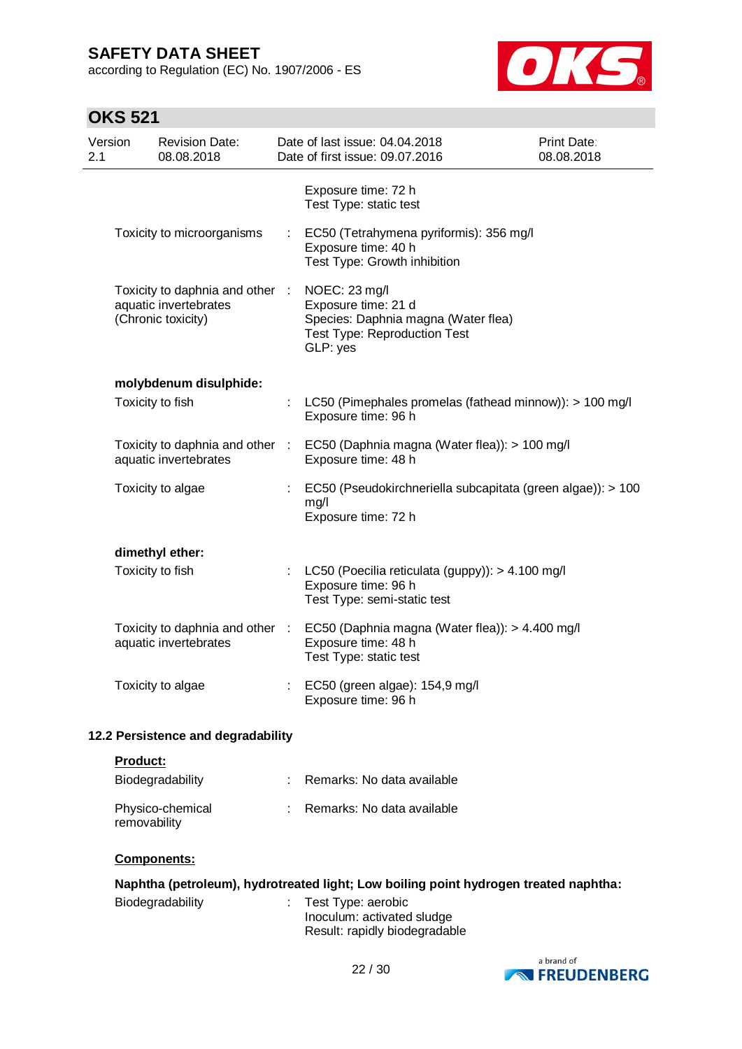according to Regulation (EC) No. 1907/2006 - ES



# **OKS 521**

| 2.1 | Version | <b>Revision Date:</b><br>08.08.2018                                            | Date of last issue: 04.04.2018<br>Date of first issue: 09.07.2016                                                              | Print Date:<br>08.08.2018 |
|-----|---------|--------------------------------------------------------------------------------|--------------------------------------------------------------------------------------------------------------------------------|---------------------------|
|     |         |                                                                                | Exposure time: 72 h<br>Test Type: static test                                                                                  |                           |
|     |         | Toxicity to microorganisms                                                     | EC50 (Tetrahymena pyriformis): 356 mg/l<br>Exposure time: 40 h<br>Test Type: Growth inhibition                                 |                           |
|     |         | Toxicity to daphnia and other :<br>aquatic invertebrates<br>(Chronic toxicity) | NOEC: 23 mg/l<br>Exposure time: 21 d<br>Species: Daphnia magna (Water flea)<br><b>Test Type: Reproduction Test</b><br>GLP: yes |                           |
|     |         | molybdenum disulphide:                                                         |                                                                                                                                |                           |
|     |         | Toxicity to fish                                                               | LC50 (Pimephales promelas (fathead minnow)): > 100 mg/l<br>Exposure time: 96 h                                                 |                           |
|     |         | Toxicity to daphnia and other :<br>aquatic invertebrates                       | EC50 (Daphnia magna (Water flea)): > 100 mg/l<br>Exposure time: 48 h                                                           |                           |
|     |         | Toxicity to algae                                                              | EC50 (Pseudokirchneriella subcapitata (green algae)): > 100<br>mg/l<br>Exposure time: 72 h                                     |                           |
|     |         | dimethyl ether:                                                                |                                                                                                                                |                           |
|     |         | Toxicity to fish                                                               | : LC50 (Poecilia reticulata (guppy)): > 4.100 mg/l<br>Exposure time: 96 h<br>Test Type: semi-static test                       |                           |
|     |         | Toxicity to daphnia and other :<br>aquatic invertebrates                       | EC50 (Daphnia magna (Water flea)): > 4.400 mg/l<br>Exposure time: 48 h<br>Test Type: static test                               |                           |
|     |         | Toxicity to algae                                                              | EC50 (green algae): 154,9 mg/l<br>Exposure time: 96 h                                                                          |                           |
|     |         |                                                                                |                                                                                                                                |                           |

### **12.2 Persistence and degradability**

**Product:**

| Biodegradability                 | Remarks: No data available   |
|----------------------------------|------------------------------|
| Physico-chemical<br>removability | : Remarks: No data available |

### **Components:**

| Naphtha (petroleum), hydrotreated light; Low boiling point hydrogen treated naphtha: |  |                                                                                     |  |  |
|--------------------------------------------------------------------------------------|--|-------------------------------------------------------------------------------------|--|--|
| <b>Biodegradability</b>                                                              |  | : Test Type: aerobic<br>Inoculum: activated sludge<br>Result: rapidly biodegradable |  |  |

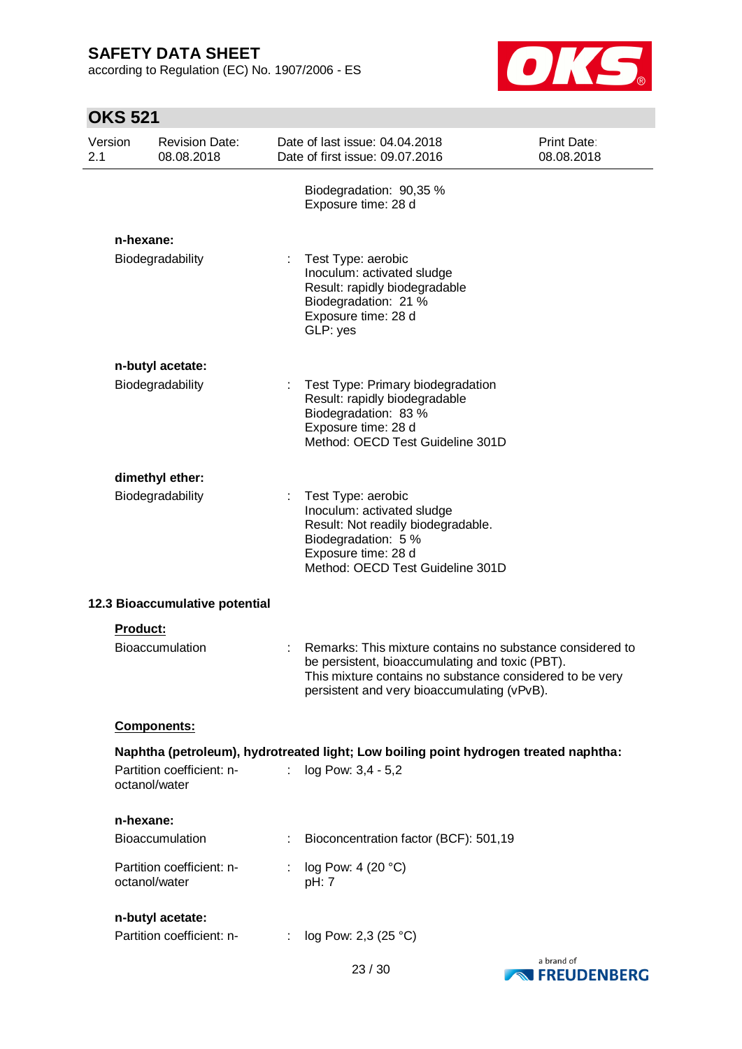according to Regulation (EC) No. 1907/2006 - ES



# **OKS 521**

| Version<br><b>Revision Date:</b><br>08.08.2018<br>2.1 |                 |                                | Date of last issue: 04.04.2018<br>Print Date:<br>Date of first issue: 09.07.2016<br>08.08.2018 |                                                                                                                                                                                                                         |            |  |
|-------------------------------------------------------|-----------------|--------------------------------|------------------------------------------------------------------------------------------------|-------------------------------------------------------------------------------------------------------------------------------------------------------------------------------------------------------------------------|------------|--|
|                                                       |                 |                                |                                                                                                | Biodegradation: 90,35 %<br>Exposure time: 28 d                                                                                                                                                                          |            |  |
|                                                       | n-hexane:       |                                |                                                                                                |                                                                                                                                                                                                                         |            |  |
|                                                       |                 | Biodegradability               |                                                                                                | Test Type: aerobic<br>Inoculum: activated sludge<br>Result: rapidly biodegradable<br>Biodegradation: 21 %<br>Exposure time: 28 d<br>GLP: yes                                                                            |            |  |
|                                                       |                 | n-butyl acetate:               |                                                                                                |                                                                                                                                                                                                                         |            |  |
|                                                       |                 | Biodegradability               |                                                                                                | Test Type: Primary biodegradation<br>Result: rapidly biodegradable<br>Biodegradation: 83 %<br>Exposure time: 28 d<br>Method: OECD Test Guideline 301D                                                                   |            |  |
|                                                       |                 | dimethyl ether:                |                                                                                                |                                                                                                                                                                                                                         |            |  |
|                                                       |                 | Biodegradability               |                                                                                                | Test Type: aerobic<br>Inoculum: activated sludge<br>Result: Not readily biodegradable.<br>Biodegradation: 5 %<br>Exposure time: 28 d<br>Method: OECD Test Guideline 301D                                                |            |  |
|                                                       |                 | 12.3 Bioaccumulative potential |                                                                                                |                                                                                                                                                                                                                         |            |  |
|                                                       | <b>Product:</b> |                                |                                                                                                |                                                                                                                                                                                                                         |            |  |
|                                                       |                 | <b>Bioaccumulation</b>         |                                                                                                | Remarks: This mixture contains no substance considered to<br>be persistent, bioaccumulating and toxic (PBT).<br>This mixture contains no substance considered to be very<br>persistent and very bioaccumulating (vPvB). |            |  |
|                                                       |                 | Components:                    |                                                                                                |                                                                                                                                                                                                                         |            |  |
|                                                       |                 |                                |                                                                                                | Naphtha (petroleum), hydrotreated light; Low boiling point hydrogen treated naphtha:                                                                                                                                    |            |  |
|                                                       | octanol/water   | Partition coefficient: n-      | $\mathbb{R}^{\mathbb{Z}}$                                                                      | log Pow: 3,4 - 5,2                                                                                                                                                                                                      |            |  |
|                                                       | n-hexane:       |                                |                                                                                                |                                                                                                                                                                                                                         |            |  |
|                                                       |                 | Bioaccumulation                |                                                                                                | Bioconcentration factor (BCF): 501,19                                                                                                                                                                                   |            |  |
|                                                       | octanol/water   | Partition coefficient: n-      |                                                                                                | log Pow: 4 (20 °C)<br>pH: 7                                                                                                                                                                                             |            |  |
|                                                       |                 | n-butyl acetate:               |                                                                                                |                                                                                                                                                                                                                         |            |  |
|                                                       |                 | Partition coefficient: n-      |                                                                                                | : $log Pow: 2,3 (25 °C)$                                                                                                                                                                                                |            |  |
|                                                       |                 |                                |                                                                                                | 100                                                                                                                                                                                                                     | a brand of |  |

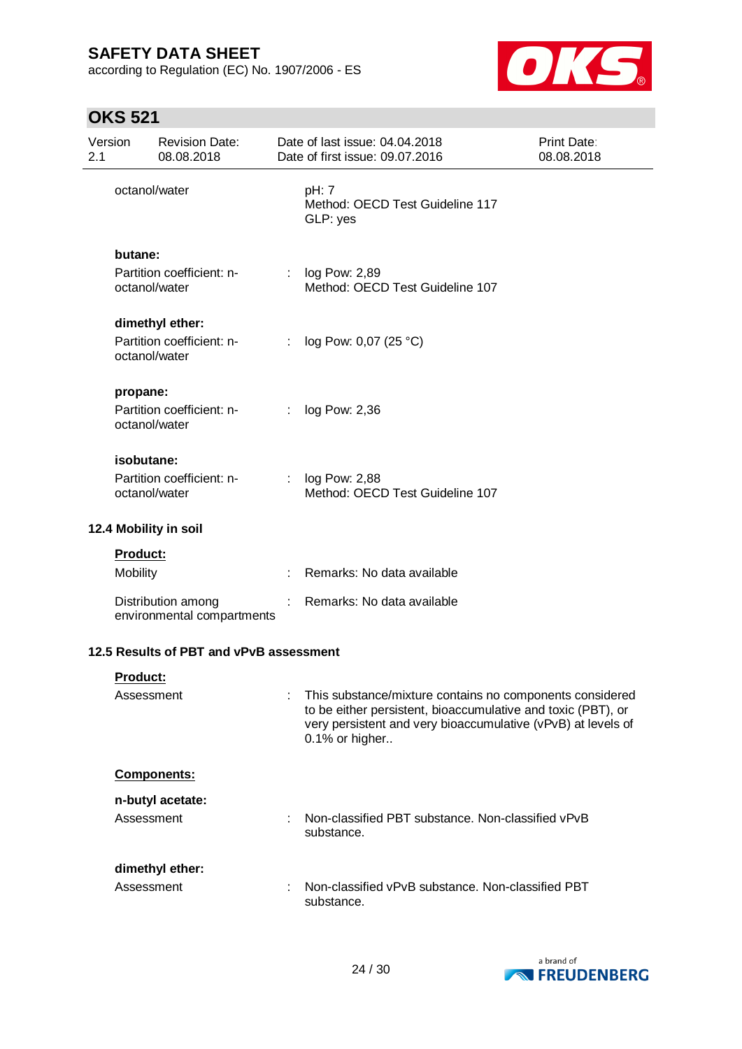according to Regulation (EC) No. 1907/2006 - ES



# **OKS 521**

| Version<br><b>Revision Date:</b><br>2.1<br>08.08.2018 |                           | Date of last issue: 04.04.2018<br><b>Print Date:</b><br>Date of first issue: 09.07.2016<br>08.08.2018 |    |                                                                                                                                                                                                            |  |
|-------------------------------------------------------|---------------------------|-------------------------------------------------------------------------------------------------------|----|------------------------------------------------------------------------------------------------------------------------------------------------------------------------------------------------------------|--|
|                                                       | octanol/water             |                                                                                                       |    | pH: 7<br>Method: OECD Test Guideline 117<br>GLP: yes                                                                                                                                                       |  |
|                                                       | butane:                   |                                                                                                       |    |                                                                                                                                                                                                            |  |
|                                                       |                           | Partition coefficient: n-<br>octanol/water                                                            | t. | log Pow: 2,89<br>Method: OECD Test Guideline 107                                                                                                                                                           |  |
|                                                       |                           | dimethyl ether:                                                                                       |    |                                                                                                                                                                                                            |  |
|                                                       | octanol/water             | Partition coefficient: n-                                                                             | ÷. | log Pow: 0,07 (25 °C)                                                                                                                                                                                      |  |
|                                                       |                           |                                                                                                       |    |                                                                                                                                                                                                            |  |
|                                                       | propane:<br>octanol/water | Partition coefficient: n-                                                                             |    | log Pow: 2,36                                                                                                                                                                                              |  |
|                                                       | isobutane:                |                                                                                                       |    |                                                                                                                                                                                                            |  |
|                                                       | octanol/water             | Partition coefficient: n-                                                                             |    | log Pow: 2,88<br>Method: OECD Test Guideline 107                                                                                                                                                           |  |
|                                                       |                           | 12.4 Mobility in soil                                                                                 |    |                                                                                                                                                                                                            |  |
|                                                       | <b>Product:</b>           |                                                                                                       |    |                                                                                                                                                                                                            |  |
|                                                       | Mobility                  |                                                                                                       |    | Remarks: No data available                                                                                                                                                                                 |  |
|                                                       |                           | Distribution among<br>environmental compartments                                                      |    | Remarks: No data available                                                                                                                                                                                 |  |
|                                                       |                           | 12.5 Results of PBT and vPvB assessment                                                               |    |                                                                                                                                                                                                            |  |
|                                                       | <b>Product:</b>           |                                                                                                       |    |                                                                                                                                                                                                            |  |
|                                                       | Assessment                |                                                                                                       |    | This substance/mixture contains no components considered<br>to be either persistent, bioaccumulative and toxic (PBT), or<br>very persistent and very bioaccumulative (vPvB) at levels of<br>0.1% or higher |  |
|                                                       |                           | Components:                                                                                           |    |                                                                                                                                                                                                            |  |
|                                                       |                           | n-butyl acetate:                                                                                      |    |                                                                                                                                                                                                            |  |
|                                                       | Assessment                |                                                                                                       |    | Non-classified PBT substance. Non-classified vPvB<br>substance.                                                                                                                                            |  |
|                                                       |                           | dimethyl ether:                                                                                       |    |                                                                                                                                                                                                            |  |

Assessment : Non-classified vPvB substance. Non-classified PBT substance.

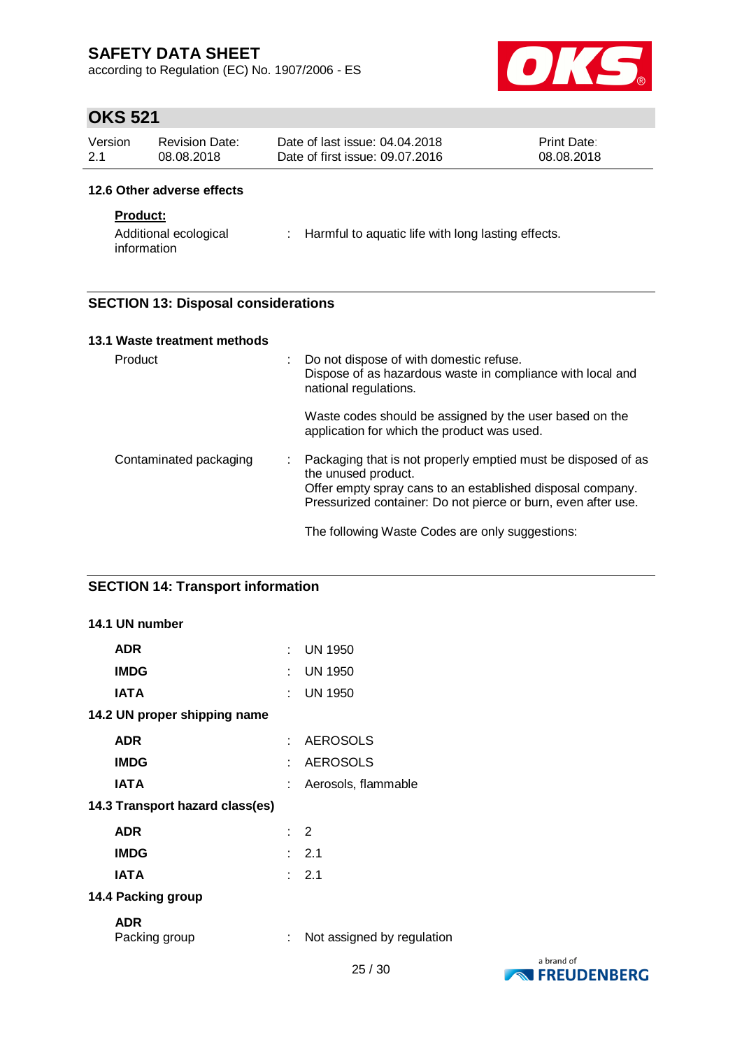according to Regulation (EC) No. 1907/2006 - ES



# **OKS 521**

| Version | Revision Date: | Date of last issue: 04.04.2018  | <b>Print Date:</b> |
|---------|----------------|---------------------------------|--------------------|
| 2.1     | 08.08.2018     | Date of first issue: 09.07.2016 | 08.08.2018         |

#### **12.6 Other adverse effects**

### **Product:**

Additional ecological information : Harmful to aquatic life with long lasting effects.

### **SECTION 13: Disposal considerations**

| 13.1 Waste treatment methods |   |                                                                                                                                                                                                                     |
|------------------------------|---|---------------------------------------------------------------------------------------------------------------------------------------------------------------------------------------------------------------------|
| Product                      |   | Do not dispose of with domestic refuse.<br>Dispose of as hazardous waste in compliance with local and<br>national regulations.                                                                                      |
|                              |   | Waste codes should be assigned by the user based on the<br>application for which the product was used.                                                                                                              |
| Contaminated packaging       | ÷ | Packaging that is not properly emptied must be disposed of as<br>the unused product.<br>Offer empty spray cans to an established disposal company.<br>Pressurized container: Do not pierce or burn, even after use. |
|                              |   | The following Waste Codes are only suggestions:                                                                                                                                                                     |

### **SECTION 14: Transport information**

| 14.1 UN number                  |   |                            |            |
|---------------------------------|---|----------------------------|------------|
| <b>ADR</b>                      | ÷ | <b>UN 1950</b>             |            |
| <b>IMDG</b>                     | ÷ | <b>UN 1950</b>             |            |
| <b>IATA</b>                     | ÷ | <b>UN 1950</b>             |            |
| 14.2 UN proper shipping name    |   |                            |            |
| <b>ADR</b>                      | ÷ | <b>AEROSOLS</b>            |            |
| <b>IMDG</b>                     | ÷ | <b>AEROSOLS</b>            |            |
| <b>IATA</b>                     | ÷ | Aerosols, flammable        |            |
| 14.3 Transport hazard class(es) |   |                            |            |
| <b>ADR</b>                      |   | $\therefore$ 2             |            |
| <b>IMDG</b>                     |   | $\therefore$ 2.1           |            |
| <b>IATA</b>                     |   | $\therefore$ 2.1           |            |
| 14.4 Packing group              |   |                            |            |
| <b>ADR</b><br>Packing group     | ÷ | Not assigned by regulation |            |
|                                 |   | $\sim$ $\sim$ $\sim$       | a brand of |

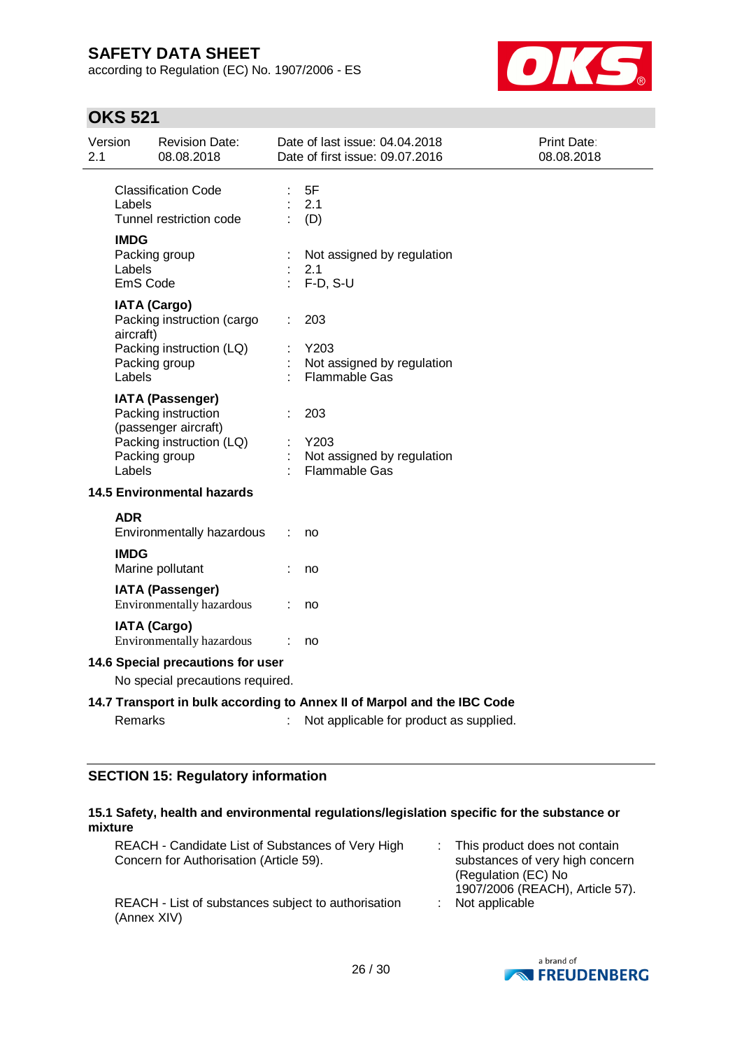according to Regulation (EC) No. 1907/2006 - ES



# **OKS 521**

| <b>Revision Date:</b><br>Version<br>2.1<br>08.08.2018                  | Date of last issue: 04.04.2018<br>Date of first issue: 09.07.2016                                                  | Print Date:<br>08.08.2018 |
|------------------------------------------------------------------------|--------------------------------------------------------------------------------------------------------------------|---------------------------|
| <b>Classification Code</b><br>Labels<br>Tunnel restriction code        | 5F<br>2.1<br>(D)                                                                                                   |                           |
| <b>IMDG</b><br>Packing group<br>Labels<br>EmS Code                     | Not assigned by regulation<br>2.1<br>$F-D, S-U$                                                                    |                           |
| <b>IATA (Cargo)</b><br>Packing instruction (cargo<br>aircraft)         | 203                                                                                                                |                           |
| Packing instruction (LQ)<br>Packing group<br>Labels                    | Y203<br>Not assigned by regulation<br>Flammable Gas                                                                |                           |
| <b>IATA (Passenger)</b><br>Packing instruction<br>(passenger aircraft) | 203                                                                                                                |                           |
| Packing instruction (LQ)<br>Packing group<br>Labels                    | Y203<br>Not assigned by regulation<br><b>Flammable Gas</b>                                                         |                           |
| <b>14.5 Environmental hazards</b>                                      |                                                                                                                    |                           |
| <b>ADR</b><br>Environmentally hazardous                                | no                                                                                                                 |                           |
| <b>IMDG</b><br>Marine pollutant                                        | no                                                                                                                 |                           |
| <b>IATA (Passenger)</b><br>Environmentally hazardous                   | no                                                                                                                 |                           |
| <b>IATA (Cargo)</b><br>Environmentally hazardous                       | no                                                                                                                 |                           |
| 14.6 Special precautions for user                                      |                                                                                                                    |                           |
| No special precautions required.                                       |                                                                                                                    |                           |
| Remarks                                                                | 14.7 Transport in bulk according to Annex II of Marpol and the IBC Code<br>Not applicable for product as supplied. |                           |

### **SECTION 15: Regulatory information**

| 15.1 Safety, health and environmental regulations/legislation specific for the substance or |
|---------------------------------------------------------------------------------------------|
| mixture                                                                                     |

| REACH - Candidate List of Substances of Very High<br>Concern for Authorisation (Article 59). | This product does not contain<br>substances of very high concern<br>(Regulation (EC) No<br>1907/2006 (REACH), Article 57). |  |
|----------------------------------------------------------------------------------------------|----------------------------------------------------------------------------------------------------------------------------|--|
| REACH - List of substances subject to authorisation<br>(Annex XIV)                           | $:$ Not applicable                                                                                                         |  |

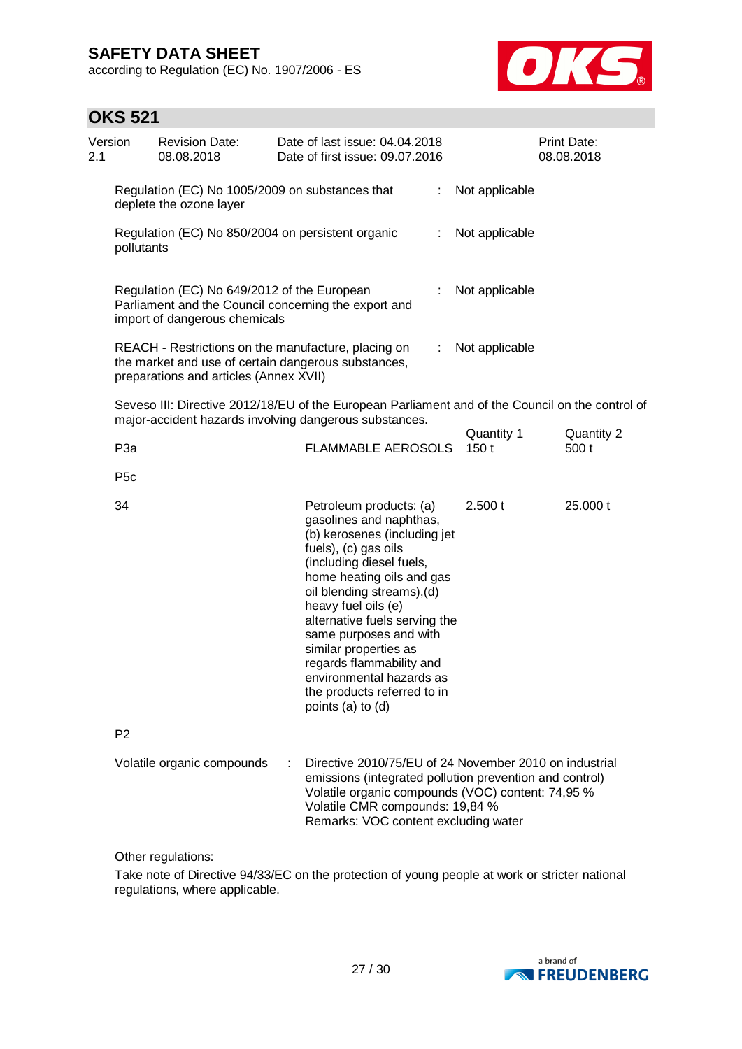according to Regulation (EC) No. 1907/2006 - ES



### **OKS 521**

| Version<br>2.1 |                  | <b>Revision Date:</b><br>08.08.2018                                                                                                                  |   | Date of last issue: 04.04.2018<br>Date of first issue: 09.07.2016                                                                                                                                                                                                                                                                                                                                                        |    |                    | <b>Print Date:</b><br>08.08.2018 |
|----------------|------------------|------------------------------------------------------------------------------------------------------------------------------------------------------|---|--------------------------------------------------------------------------------------------------------------------------------------------------------------------------------------------------------------------------------------------------------------------------------------------------------------------------------------------------------------------------------------------------------------------------|----|--------------------|----------------------------------|
|                |                  | Regulation (EC) No 1005/2009 on substances that<br>deplete the ozone layer                                                                           |   |                                                                                                                                                                                                                                                                                                                                                                                                                          | ÷. | Not applicable     |                                  |
|                | pollutants       | Regulation (EC) No 850/2004 on persistent organic                                                                                                    |   |                                                                                                                                                                                                                                                                                                                                                                                                                          | ÷. | Not applicable     |                                  |
|                |                  | Regulation (EC) No 649/2012 of the European<br>Parliament and the Council concerning the export and<br>import of dangerous chemicals                 |   |                                                                                                                                                                                                                                                                                                                                                                                                                          |    | Not applicable     |                                  |
|                |                  | REACH - Restrictions on the manufacture, placing on<br>the market and use of certain dangerous substances,<br>preparations and articles (Annex XVII) |   |                                                                                                                                                                                                                                                                                                                                                                                                                          | ÷. | Not applicable     |                                  |
|                |                  |                                                                                                                                                      |   | Seveso III: Directive 2012/18/EU of the European Parliament and of the Council on the control of<br>major-accident hazards involving dangerous substances.                                                                                                                                                                                                                                                               |    |                    |                                  |
|                | P <sub>3</sub> a |                                                                                                                                                      |   | <b>FLAMMABLE AEROSOLS</b>                                                                                                                                                                                                                                                                                                                                                                                                |    | Quantity 1<br>150t | Quantity 2<br>500 t              |
|                | P <sub>5c</sub>  |                                                                                                                                                      |   |                                                                                                                                                                                                                                                                                                                                                                                                                          |    |                    |                                  |
|                | 34               |                                                                                                                                                      |   | Petroleum products: (a)<br>gasolines and naphthas,<br>(b) kerosenes (including jet<br>fuels), (c) gas oils<br>(including diesel fuels,<br>home heating oils and gas<br>oil blending streams), (d)<br>heavy fuel oils (e)<br>alternative fuels serving the<br>same purposes and with<br>similar properties as<br>regards flammability and<br>environmental hazards as<br>the products referred to in<br>points (a) to (d) |    | 2.500 t            | 25.000 t                         |
|                | P <sub>2</sub>   |                                                                                                                                                      |   |                                                                                                                                                                                                                                                                                                                                                                                                                          |    |                    |                                  |
|                |                  | Volatile organic compounds                                                                                                                           | ÷ | Directive 2010/75/EU of 24 November 2010 on industrial<br>emissions (integrated pollution prevention and control)<br>Volatile organic compounds (VOC) content: 74,95 %<br>Volatile CMR compounds: 19,84 %<br>Remarks: VOC content excluding water                                                                                                                                                                        |    |                    |                                  |

Other regulations:

Take note of Directive 94/33/EC on the protection of young people at work or stricter national regulations, where applicable.

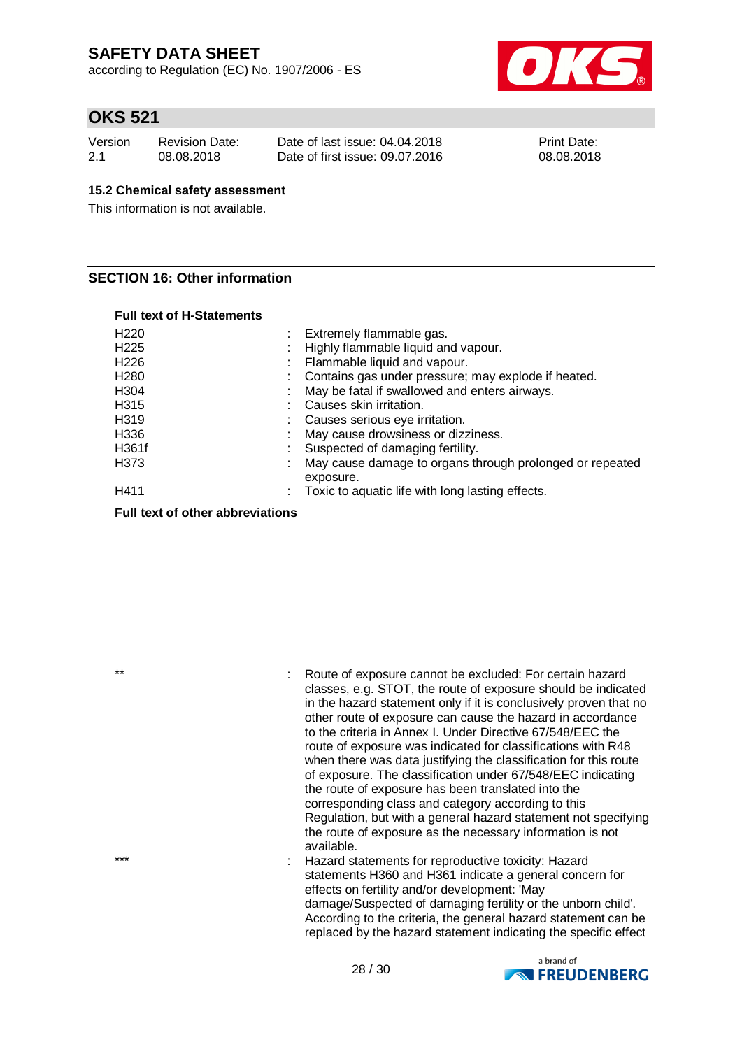according to Regulation (EC) No. 1907/2006 - ES



### **OKS 521**

| Version | <b>Revision Date:</b> | Date of last issue: 04.04.2018  | <b>Print Date:</b> |
|---------|-----------------------|---------------------------------|--------------------|
| 2.1     | 08.08.2018            | Date of first issue: 09.07.2016 | 08.08.2018         |

#### **15.2 Chemical safety assessment**

This information is not available.

#### **SECTION 16: Other information**

#### **Full text of H-Statements**

| H220<br>H <sub>225</sub><br>H226<br>H <sub>280</sub><br>H304<br>H315<br>H319<br>H336<br>H361f<br>H373 | Extremely flammable gas.<br>Highly flammable liquid and vapour.<br>Flammable liquid and vapour.<br>Contains gas under pressure; may explode if heated.<br>May be fatal if swallowed and enters airways.<br>Causes skin irritation.<br>Causes serious eye irritation.<br>May cause drowsiness or dizziness.<br>Suspected of damaging fertility.<br>May cause damage to organs through prolonged or repeated |
|-------------------------------------------------------------------------------------------------------|------------------------------------------------------------------------------------------------------------------------------------------------------------------------------------------------------------------------------------------------------------------------------------------------------------------------------------------------------------------------------------------------------------|
|                                                                                                       |                                                                                                                                                                                                                                                                                                                                                                                                            |
| H411                                                                                                  | exposure.<br>Toxic to aquatic life with long lasting effects.                                                                                                                                                                                                                                                                                                                                              |

#### **Full text of other abbreviations**

- : Route of exposure cannot be excluded: For certain hazard classes, e.g. STOT, the route of exposure should be indicated in the hazard statement only if it is conclusively proven that no other route of exposure can cause the hazard in accordance to the criteria in Annex I. Under Directive 67/548/EEC the route of exposure was indicated for classifications with R48 when there was data justifying the classification for this route of exposure. The classification under 67/548/EEC indicating the route of exposure has been translated into the corresponding class and category according to this Regulation, but with a general hazard statement not specifying the route of exposure as the necessary information is not available.
- \*\*\* : Hazard statements for reproductive toxicity: Hazard statements H360 and H361 indicate a general concern for effects on fertility and/or development: 'May damage/Suspected of damaging fertility or the unborn child'. According to the criteria, the general hazard statement can be replaced by the hazard statement indicating the specific effect

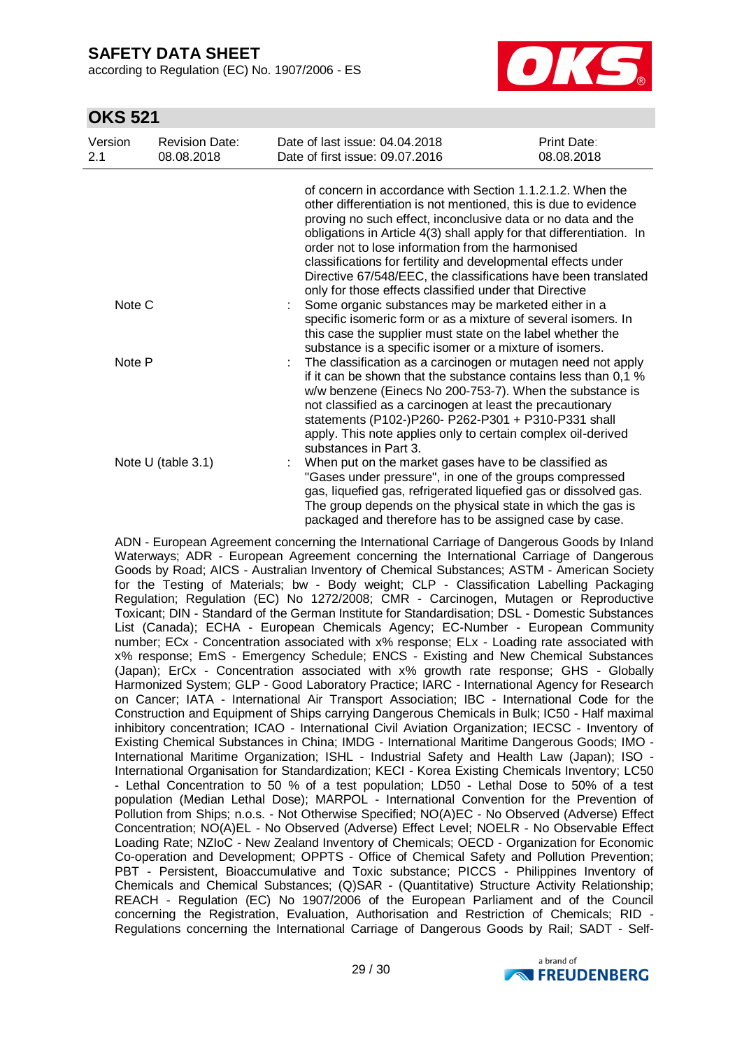according to Regulation (EC) No. 1907/2006 - ES



### **OKS 521**

| Version<br>2.1 | <b>Revision Date:</b><br>08.08.2018 | Date of last issue: 04.04.2018<br>Date of first issue: 09.07.2016                                                                                                                                                                                                                                                                                                                                                                                                                                                      | Print Date:<br>08.08.2018 |  |  |
|----------------|-------------------------------------|------------------------------------------------------------------------------------------------------------------------------------------------------------------------------------------------------------------------------------------------------------------------------------------------------------------------------------------------------------------------------------------------------------------------------------------------------------------------------------------------------------------------|---------------------------|--|--|
|                |                                     | of concern in accordance with Section 1.1.2.1.2. When the<br>other differentiation is not mentioned, this is due to evidence<br>proving no such effect, inconclusive data or no data and the<br>obligations in Article 4(3) shall apply for that differentiation. In<br>order not to lose information from the harmonised<br>classifications for fertility and developmental effects under<br>Directive 67/548/EEC, the classifications have been translated<br>only for those effects classified under that Directive |                           |  |  |
| Note C         |                                     | Some organic substances may be marketed either in a<br>specific isomeric form or as a mixture of several isomers. In<br>this case the supplier must state on the label whether the<br>substance is a specific isomer or a mixture of isomers.                                                                                                                                                                                                                                                                          |                           |  |  |
| Note P         |                                     | The classification as a carcinogen or mutagen need not apply<br>if it can be shown that the substance contains less than 0,1 %<br>w/w benzene (Einecs No 200-753-7). When the substance is<br>not classified as a carcinogen at least the precautionary<br>statements (P102-)P260- P262-P301 + P310-P331 shall<br>apply. This note applies only to certain complex oil-derived<br>substances in Part 3.                                                                                                                |                           |  |  |
|                | Note $U$ (table 3.1)                | When put on the market gases have to be classified as<br>"Gases under pressure", in one of the groups compressed<br>gas, liquefied gas, refrigerated liquefied gas or dissolved gas.<br>The group depends on the physical state in which the gas is<br>packaged and therefore has to be assigned case by case.                                                                                                                                                                                                         |                           |  |  |

ADN - European Agreement concerning the International Carriage of Dangerous Goods by Inland Waterways; ADR - European Agreement concerning the International Carriage of Dangerous Goods by Road; AICS - Australian Inventory of Chemical Substances; ASTM - American Society for the Testing of Materials; bw - Body weight; CLP - Classification Labelling Packaging Regulation; Regulation (EC) No 1272/2008; CMR - Carcinogen, Mutagen or Reproductive Toxicant; DIN - Standard of the German Institute for Standardisation; DSL - Domestic Substances List (Canada); ECHA - European Chemicals Agency; EC-Number - European Community number; ECx - Concentration associated with x% response; ELx - Loading rate associated with x% response; EmS - Emergency Schedule; ENCS - Existing and New Chemical Substances (Japan); ErCx - Concentration associated with x% growth rate response; GHS - Globally Harmonized System; GLP - Good Laboratory Practice; IARC - International Agency for Research on Cancer; IATA - International Air Transport Association; IBC - International Code for the Construction and Equipment of Ships carrying Dangerous Chemicals in Bulk; IC50 - Half maximal inhibitory concentration; ICAO - International Civil Aviation Organization; IECSC - Inventory of Existing Chemical Substances in China; IMDG - International Maritime Dangerous Goods; IMO - International Maritime Organization; ISHL - Industrial Safety and Health Law (Japan); ISO - International Organisation for Standardization; KECI - Korea Existing Chemicals Inventory; LC50 - Lethal Concentration to 50 % of a test population; LD50 - Lethal Dose to 50% of a test population (Median Lethal Dose); MARPOL - International Convention for the Prevention of Pollution from Ships; n.o.s. - Not Otherwise Specified; NO(A)EC - No Observed (Adverse) Effect Concentration; NO(A)EL - No Observed (Adverse) Effect Level; NOELR - No Observable Effect Loading Rate; NZIoC - New Zealand Inventory of Chemicals; OECD - Organization for Economic Co-operation and Development; OPPTS - Office of Chemical Safety and Pollution Prevention; PBT - Persistent, Bioaccumulative and Toxic substance; PICCS - Philippines Inventory of Chemicals and Chemical Substances; (Q)SAR - (Quantitative) Structure Activity Relationship; REACH - Regulation (EC) No 1907/2006 of the European Parliament and of the Council concerning the Registration, Evaluation, Authorisation and Restriction of Chemicals; RID - Regulations concerning the International Carriage of Dangerous Goods by Rail; SADT - Self-